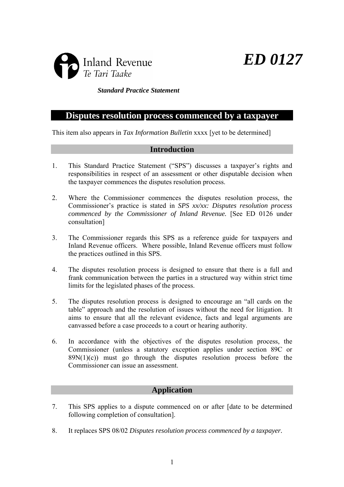



## *Standard Practice Statement*

# **Disputes resolution process commenced by a taxpayer**

This item also appears in *Tax Information Bulletin* xxxx [yet to be determined]

## **Introduction**

- 1. This Standard Practice Statement ("SPS") discusses a taxpayer's rights and responsibilities in respect of an assessment or other disputable decision when the taxpayer commences the disputes resolution process.
- 2. Where the Commissioner commences the disputes resolution process, the Commissioner's practice is stated in *SPS xx/xx: Disputes resolution process commenced by the Commissioner of Inland Revenue.* [See ED 0126 under consultation]
- 3. The Commissioner regards this SPS as a reference guide for taxpayers and Inland Revenue officers. Where possible, Inland Revenue officers must follow the practices outlined in this SPS.
- 4. The disputes resolution process is designed to ensure that there is a full and frank communication between the parties in a structured way within strict time limits for the legislated phases of the process.
- 5. The disputes resolution process is designed to encourage an "all cards on the table" approach and the resolution of issues without the need for litigation. It aims to ensure that all the relevant evidence, facts and legal arguments are canvassed before a case proceeds to a court or hearing authority.
- 6. In accordance with the objectives of the disputes resolution process, the Commissioner (unless a statutory exception applies under section 89C or  $89N(1)(c)$  must go through the disputes resolution process before the Commissioner can issue an assessment.

## **Application**

- 7. This SPS applies to a dispute commenced on or after [date to be determined following completion of consultation].
- 8. It replaces SPS 08/02 *Disputes resolution process commenced by a taxpayer.*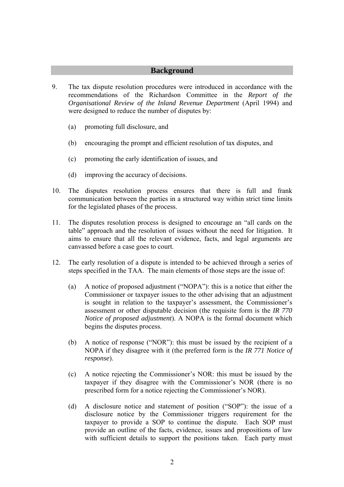## **Background**

- 9. The tax dispute resolution procedures were introduced in accordance with the recommendations of the Richardson Committee in the *Report of the Organisational Review of the Inland Revenue Department* (April 1994) and were designed to reduce the number of disputes by:
	- (a) promoting full disclosure, and
	- (b) encouraging the prompt and efficient resolution of tax disputes, and
	- (c) promoting the early identification of issues, and
	- (d) improving the accuracy of decisions.
- 10. The disputes resolution process ensures that there is full and frank communication between the parties in a structured way within strict time limits for the legislated phases of the process.
- 11. The disputes resolution process is designed to encourage an "all cards on the table" approach and the resolution of issues without the need for litigation. It aims to ensure that all the relevant evidence, facts, and legal arguments are canvassed before a case goes to court.
- 12. The early resolution of a dispute is intended to be achieved through a series of steps specified in the TAA. The main elements of those steps are the issue of:
	- (a) A notice of proposed adjustment ("NOPA"): this is a notice that either the Commissioner or taxpayer issues to the other advising that an adjustment is sought in relation to the taxpayer's assessment, the Commissioner's assessment or other disputable decision (the requisite form is the *IR 770 Notice of proposed adjustment*). A NOPA is the formal document which begins the disputes process.
	- (b) A notice of response ("NOR"): this must be issued by the recipient of a NOPA if they disagree with it (the preferred form is the *IR 771 Notice of response*).
	- (c) A notice rejecting the Commissioner's NOR: this must be issued by the taxpayer if they disagree with the Commissioner's NOR (there is no prescribed form for a notice rejecting the Commissioner's NOR).
	- (d) A disclosure notice and statement of position ("SOP"): the issue of a disclosure notice by the Commissioner triggers requirement for the taxpayer to provide a SOP to continue the dispute. Each SOP must provide an outline of the facts, evidence, issues and propositions of law with sufficient details to support the positions taken. Each party must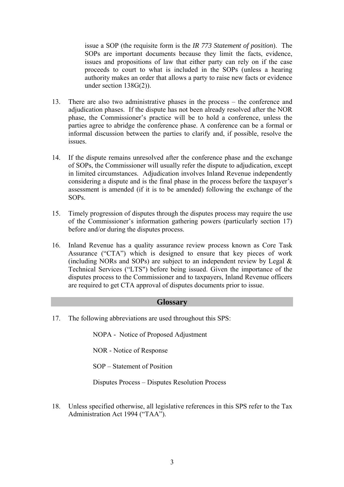issue a SOP (the requisite form is the *IR 773 Statement of position*). The SOPs are important documents because they limit the facts, evidence, issues and propositions of law that either party can rely on if the case proceeds to court to what is included in the SOPs (unless a hearing authority makes an order that allows a party to raise new facts or evidence under section 138G(2)).

- 13. There are also two administrative phases in the process the conference and adjudication phases. If the dispute has not been already resolved after the NOR phase, the Commissioner's practice will be to hold a conference, unless the parties agree to abridge the conference phase. A conference can be a formal or informal discussion between the parties to clarify and, if possible, resolve the issues.
- 14. If the dispute remains unresolved after the conference phase and the exchange of SOPs, the Commissioner will usually refer the dispute to adjudication, except in limited circumstances. Adjudication involves Inland Revenue independently considering a dispute and is the final phase in the process before the taxpayer's assessment is amended (if it is to be amended) following the exchange of the SOPs.
- 15. Timely progression of disputes through the disputes process may require the use of the Commissioner's information gathering powers (particularly section 17) before and/or during the disputes process.
- 16. Inland Revenue has a quality assurance review process known as Core Task Assurance ("CTA") which is designed to ensure that key pieces of work (including NORs and SOPs) are subject to an independent review by Legal  $\&$ Technical Services ("LTS") before being issued. Given the importance of the disputes process to the Commissioner and to taxpayers, Inland Revenue officers are required to get CTA approval of disputes documents prior to issue.

## **Glossary**

17. The following abbreviations are used throughout this SPS:

NOPA - Notice of Proposed Adjustment

NOR - Notice of Response

SOP – Statement of Position

Disputes Process – Disputes Resolution Process

18. Unless specified otherwise, all legislative references in this SPS refer to the Tax Administration Act 1994 ("TAA").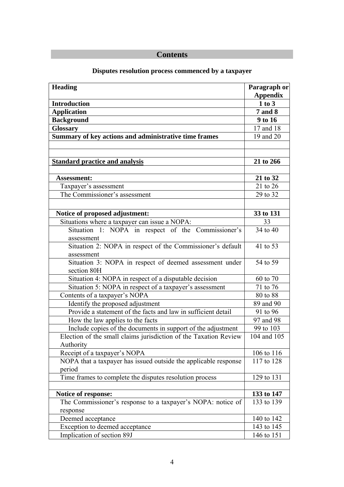# **Contents**

| <b>Heading</b>                                                         | Paragraph or<br><b>Appendix</b> |
|------------------------------------------------------------------------|---------------------------------|
| <b>Introduction</b>                                                    | 1 to 3                          |
| <b>Application</b>                                                     | <b>7</b> and 8                  |
| <b>Background</b>                                                      | 9 to 16                         |
| <b>Glossary</b>                                                        | 17 and 18                       |
| Summary of key actions and administrative time frames                  | 19 and 20                       |
|                                                                        |                                 |
|                                                                        |                                 |
| <b>Standard practice and analysis</b>                                  | 21 to 266                       |
|                                                                        |                                 |
| <b>Assessment:</b>                                                     | 21 to 32                        |
| Taxpayer's assessment                                                  | 21 to 26                        |
| The Commissioner's assessment                                          | 29 to 32                        |
|                                                                        |                                 |
| Notice of proposed adjustment:                                         | 33 to 131                       |
| Situations where a taxpayer can issue a NOPA:                          | 33                              |
| Situation 1: NOPA in respect of the Commissioner's                     | 34 to 40                        |
| assessment                                                             |                                 |
| Situation 2: NOPA in respect of the Commissioner's default             | 41 to 53                        |
| assessment                                                             |                                 |
| Situation 3: NOPA in respect of deemed assessment under<br>section 80H | 54 to 59                        |
| Situation 4: NOPA in respect of a disputable decision                  | 60 to 70                        |
| Situation 5: NOPA in respect of a taxpayer's assessment                | 71 to 76                        |
| Contents of a taxpayer's NOPA                                          | 80 to 88                        |
| Identify the proposed adjustment                                       | 89 and 90                       |
| Provide a statement of the facts and law in sufficient detail          | 91 to 96                        |
| How the law applies to the facts                                       | 97 and 98                       |
| Include copies of the documents in support of the adjustment           | 99 to 103                       |
| Election of the small claims jurisdiction of the Taxation Review       | 104 and 105                     |
| Authority                                                              |                                 |
| Receipt of a taxpayer's NOPA                                           | 106 to 116                      |
| NOPA that a taxpayer has issued outside the applicable response        | 117 to 128                      |
| period                                                                 |                                 |
| Time frames to complete the disputes resolution process                | 129 to 131                      |
|                                                                        |                                 |
| Notice of response:                                                    | 133 to 147                      |
| The Commissioner's response to a taxpayer's NOPA: notice of            | 133 to 139                      |
| response                                                               |                                 |
| Deemed acceptance                                                      | 140 to 142                      |
| Exception to deemed acceptance                                         | 143 to 145                      |
| Implication of section 89J                                             | 146 to 151                      |

# **Disputes resolution process commenced by a taxpayer**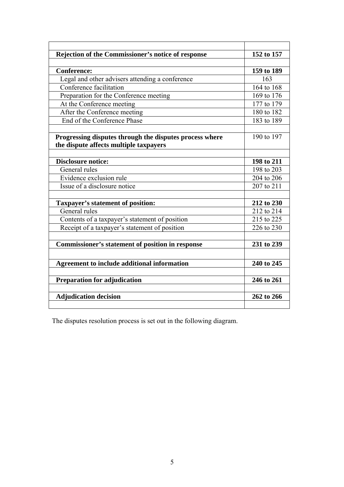| Rejection of the Commissioner's notice of response      | 152 to 157 |
|---------------------------------------------------------|------------|
|                                                         |            |
| <b>Conference:</b>                                      | 159 to 189 |
| Legal and other advisers attending a conference         | 163        |
| Conference facilitation                                 | 164 to 168 |
| Preparation for the Conference meeting                  | 169 to 176 |
| At the Conference meeting                               | 177 to 179 |
| After the Conference meeting                            | 180 to 182 |
| End of the Conference Phase                             | 183 to 189 |
|                                                         |            |
| Progressing disputes through the disputes process where | 190 to 197 |
| the dispute affects multiple taxpayers                  |            |
|                                                         |            |
| <b>Disclosure notice:</b>                               | 198 to 211 |
| General rules                                           | 198 to 203 |
| Evidence exclusion rule                                 | 204 to 206 |
| Issue of a disclosure notice                            | 207 to 211 |
|                                                         |            |
| <b>Taxpayer's statement of position:</b>                | 212 to 230 |
| General rules                                           | 212 to 214 |
| Contents of a taxpayer's statement of position          | 215 to 225 |
| Receipt of a taxpayer's statement of position           | 226 to 230 |
|                                                         |            |
| <b>Commissioner's statement of position in response</b> | 231 to 239 |
|                                                         |            |
| <b>Agreement to include additional information</b>      | 240 to 245 |
|                                                         |            |
| <b>Preparation for adjudication</b>                     | 246 to 261 |
|                                                         |            |
| <b>Adjudication decision</b>                            | 262 to 266 |
|                                                         |            |

The disputes resolution process is set out in the following diagram.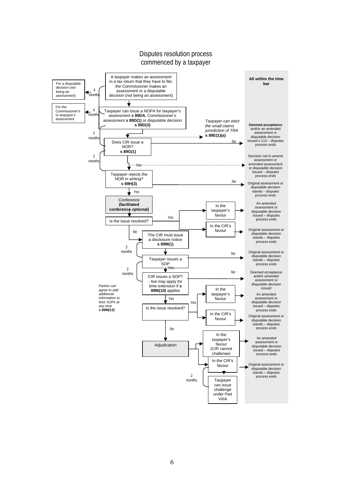## Disputes resolution process commenced by a taxpayer

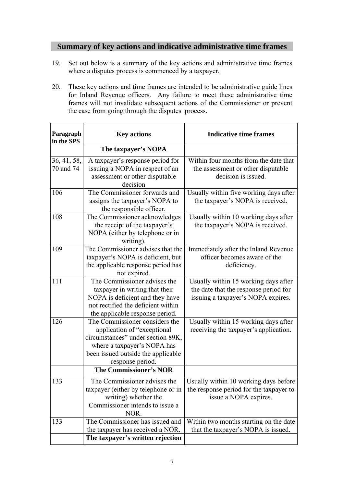# **Summary of key actions and indicative administrative time frames**

- 19. Set out below is a summary of the key actions and administrative time frames where a disputes process is commenced by a taxpayer.
- 20. These key actions and time frames are intended to be administrative guide lines for Inland Revenue officers. Any failure to meet these administrative time frames will not invalidate subsequent actions of the Commissioner or prevent the case from going through the disputes process.

| Paragraph<br>in the SPS  | <b>Key actions</b>                                                                                                                                                                          | <b>Indicative time frames</b>                                                                                       |
|--------------------------|---------------------------------------------------------------------------------------------------------------------------------------------------------------------------------------------|---------------------------------------------------------------------------------------------------------------------|
|                          | The taxpayer's NOPA                                                                                                                                                                         |                                                                                                                     |
| 36, 41, 58,<br>70 and 74 | A taxpayer's response period for<br>issuing a NOPA in respect of an<br>assessment or other disputable<br>decision                                                                           | Within four months from the date that<br>the assessment or other disputable<br>decision is issued.                  |
| 106                      | The Commissioner forwards and<br>assigns the taxpayer's NOPA to<br>the responsible officer.                                                                                                 | Usually within five working days after<br>the taxpayer's NOPA is received.                                          |
| 108                      | The Commissioner acknowledges<br>the receipt of the taxpayer's<br>NOPA (either by telephone or in<br>writing).                                                                              | Usually within 10 working days after<br>the taxpayer's NOPA is received.                                            |
| 109                      | The Commissioner advises that the<br>taxpayer's NOPA is deficient, but<br>the applicable response period has<br>not expired.                                                                | Immediately after the Inland Revenue<br>officer becomes aware of the<br>deficiency.                                 |
| 111                      | The Commissioner advises the<br>taxpayer in writing that their<br>NOPA is deficient and they have<br>not rectified the deficient within<br>the applicable response period.                  | Usually within 15 working days after<br>the date that the response period for<br>issuing a taxpayer's NOPA expires. |
| 126                      | The Commissioner considers the<br>application of "exceptional<br>circumstances" under section 89K,<br>where a taxpayer's NOPA has<br>been issued outside the applicable<br>response period. | Usually within 15 working days after<br>receiving the taxpayer's application.                                       |
|                          | <b>The Commissioner's NOR</b>                                                                                                                                                               |                                                                                                                     |
| 133                      | The Commissioner advises the<br>taxpayer (either by telephone or in<br>writing) whether the<br>Commissioner intends to issue a<br>NOR.                                                      | Usually within 10 working days before<br>the response period for the taxpayer to<br>issue a NOPA expires.           |
| 133                      | The Commissioner has issued and<br>the taxpayer has received a NOR.                                                                                                                         | Within two months starting on the date<br>that the taxpayer's NOPA is issued.                                       |
|                          | The taxpayer's written rejection                                                                                                                                                            |                                                                                                                     |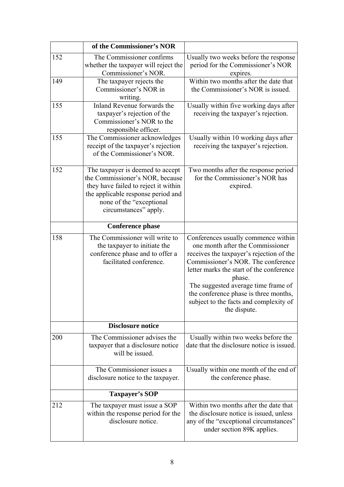|     | of the Commissioner's NOR                                                                                                                                                                              |                                                                                                                                                                                                                                                                                                                                                           |
|-----|--------------------------------------------------------------------------------------------------------------------------------------------------------------------------------------------------------|-----------------------------------------------------------------------------------------------------------------------------------------------------------------------------------------------------------------------------------------------------------------------------------------------------------------------------------------------------------|
| 152 | The Commissioner confirms<br>whether the taxpayer will reject the<br>Commissioner's NOR.                                                                                                               | Usually two weeks before the response<br>period for the Commissioner's NOR<br>expires.                                                                                                                                                                                                                                                                    |
| 149 | The taxpayer rejects the<br>Commissioner's NOR in<br>writing.                                                                                                                                          | Within two months after the date that<br>the Commissioner's NOR is issued.                                                                                                                                                                                                                                                                                |
| 155 | Inland Revenue forwards the<br>taxpayer's rejection of the<br>Commissioner's NOR to the<br>responsible officer.                                                                                        | Usually within five working days after<br>receiving the taxpayer's rejection.                                                                                                                                                                                                                                                                             |
| 155 | The Commissioner acknowledges<br>receipt of the taxpayer's rejection<br>of the Commissioner's NOR.                                                                                                     | Usually within 10 working days after<br>receiving the taxpayer's rejection.                                                                                                                                                                                                                                                                               |
| 152 | The taxpayer is deemed to accept<br>the Commissioner's NOR, because<br>they have failed to reject it within<br>the applicable response period and<br>none of the "exceptional<br>circumstances" apply. | Two months after the response period<br>for the Commissioner's NOR has<br>expired.                                                                                                                                                                                                                                                                        |
|     | <b>Conference phase</b>                                                                                                                                                                                |                                                                                                                                                                                                                                                                                                                                                           |
| 158 | The Commissioner will write to<br>the taxpayer to initiate the<br>conference phase and to offer a<br>facilitated conference.                                                                           | Conferences usually commence within<br>one month after the Commissioner<br>receives the taxpayer's rejection of the<br>Commissioner's NOR. The conference<br>letter marks the start of the conference<br>phase.<br>The suggested average time frame of<br>the conference phase is three months,<br>subject to the facts and complexity of<br>the dispute. |
|     | <b>Disclosure notice</b>                                                                                                                                                                               |                                                                                                                                                                                                                                                                                                                                                           |
| 200 | The Commissioner advises the<br>taxpayer that a disclosure notice<br>will be issued.                                                                                                                   | Usually within two weeks before the<br>date that the disclosure notice is issued.                                                                                                                                                                                                                                                                         |
|     | The Commissioner issues a<br>disclosure notice to the taxpayer.                                                                                                                                        | Usually within one month of the end of<br>the conference phase.                                                                                                                                                                                                                                                                                           |
|     | Taxpayer's SOP                                                                                                                                                                                         |                                                                                                                                                                                                                                                                                                                                                           |
| 212 | The taxpayer must issue a SOP<br>within the response period for the<br>disclosure notice.                                                                                                              | Within two months after the date that<br>the disclosure notice is issued, unless<br>any of the "exceptional circumstances"<br>under section 89K applies.                                                                                                                                                                                                  |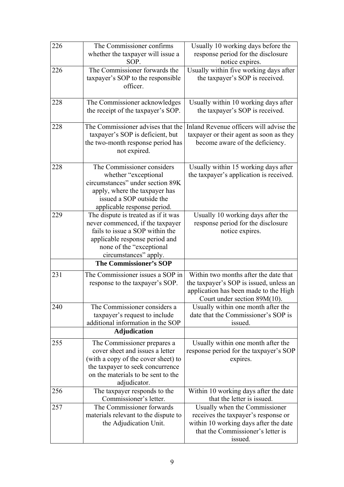| 226 | The Commissioner confirms                                                                                                                                                                          | Usually 10 working days before the                                                                                                                            |
|-----|----------------------------------------------------------------------------------------------------------------------------------------------------------------------------------------------------|---------------------------------------------------------------------------------------------------------------------------------------------------------------|
|     | whether the taxpayer will issue a<br>SOP.                                                                                                                                                          | response period for the disclosure<br>notice expires.                                                                                                         |
| 226 | The Commissioner forwards the<br>taxpayer's SOP to the responsible<br>officer.                                                                                                                     | Usually within five working days after<br>the taxpayer's SOP is received.                                                                                     |
| 228 | The Commissioner acknowledges<br>the receipt of the taxpayer's SOP.                                                                                                                                | Usually within 10 working days after<br>the taxpayer's SOP is received.                                                                                       |
| 228 | The Commissioner advises that the<br>taxpayer's SOP is deficient, but<br>the two-month response period has<br>not expired.                                                                         | Inland Revenue officers will advise the<br>taxpayer or their agent as soon as they<br>become aware of the deficiency.                                         |
| 228 | The Commissioner considers<br>whether "exceptional<br>circumstances" under section 89K<br>apply, where the taxpayer has<br>issued a SOP outside the<br>applicable response period.                 | Usually within 15 working days after<br>the taxpayer's application is received.                                                                               |
| 229 | The dispute is treated as if it was<br>never commenced, if the taxpayer<br>fails to issue a SOP within the<br>applicable response period and<br>none of the "exceptional"<br>circumstances" apply. | Usually 10 working days after the<br>response period for the disclosure<br>notice expires.                                                                    |
|     | <b>The Commissioner's SOP</b>                                                                                                                                                                      |                                                                                                                                                               |
| 231 | The Commissioner issues a SOP in<br>response to the taxpayer's SOP.                                                                                                                                | Within two months after the date that<br>the taxpayer's SOP is issued, unless an<br>application has been made to the High<br>Court under section $89M(10)$ .  |
| 240 | The Commissioner considers a<br>taxpayer's request to include<br>additional information in the SOP                                                                                                 | Usually within one month after the<br>date that the Commissioner's SOP is<br>issued.                                                                          |
|     | <b>Adjudication</b>                                                                                                                                                                                |                                                                                                                                                               |
| 255 | The Commissioner prepares a<br>cover sheet and issues a letter<br>(with a copy of the cover sheet) to<br>the taxpayer to seek concurrence<br>on the materials to be sent to the<br>adjudicator.    | Usually within one month after the<br>response period for the taxpayer's SOP<br>expires.                                                                      |
| 256 | The taxpayer responds to the<br>Commissioner's letter.                                                                                                                                             | Within 10 working days after the date<br>that the letter is issued.                                                                                           |
| 257 | The Commissioner forwards<br>materials relevant to the dispute to<br>the Adjudication Unit.                                                                                                        | Usually when the Commissioner<br>receives the taxpayer's response or<br>within 10 working days after the date<br>that the Commissioner's letter is<br>issued. |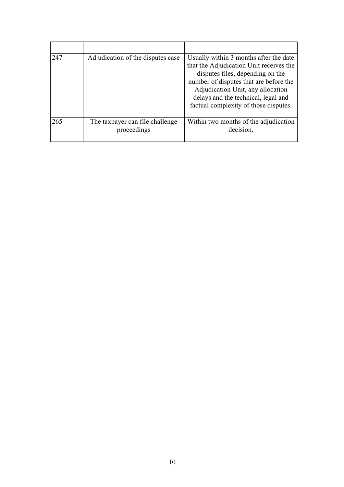| 247 | Adjudication of the disputes case              | Usually within 3 months after the date<br>that the Adjudication Unit receives the<br>disputes files, depending on the<br>number of disputes that are before the<br>Adjudication Unit, any allocation<br>delays and the technical, legal and<br>factual complexity of those disputes. |
|-----|------------------------------------------------|--------------------------------------------------------------------------------------------------------------------------------------------------------------------------------------------------------------------------------------------------------------------------------------|
| 265 | The taxpayer can file challenge<br>proceedings | Within two months of the adjudication<br>decision                                                                                                                                                                                                                                    |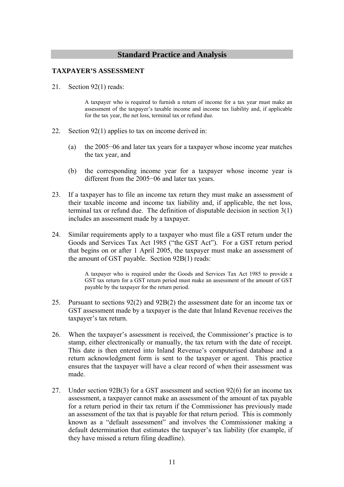## **Standard Practice and Analysis**

### **TAXPAYER'S ASSESSMENT**

21. Section 92(1) reads:

A taxpayer who is required to furnish a return of income for a tax year must make an assessment of the taxpayer's taxable income and income tax liability and, if applicable for the tax year, the net loss, terminal tax or refund due.

- 22. Section 92(1) applies to tax on income derived in:
	- (a) the 2005−06 and later tax years for a taxpayer whose income year matches the tax year, and
	- (b) the corresponding income year for a taxpayer whose income year is different from the 2005−06 and later tax years.
- 23. If a taxpayer has to file an income tax return they must make an assessment of their taxable income and income tax liability and, if applicable, the net loss, terminal tax or refund due. The definition of disputable decision in section 3(1) includes an assessment made by a taxpayer.
- 24. Similar requirements apply to a taxpayer who must file a GST return under the Goods and Services Tax Act 1985 ("the GST Act"). For a GST return period that begins on or after 1 April 2005, the taxpayer must make an assessment of the amount of GST payable. Section 92B(1) reads:

A taxpayer who is required under the Goods and Services Tax Act 1985 to provide a GST tax return for a GST return period must make an assessment of the amount of GST payable by the taxpayer for the return period.

- 25. Pursuant to sections 92(2) and 92B(2) the assessment date for an income tax or GST assessment made by a taxpayer is the date that Inland Revenue receives the taxpayer's tax return.
- 26. When the taxpayer's assessment is received, the Commissioner's practice is to stamp, either electronically or manually, the tax return with the date of receipt. This date is then entered into Inland Revenue's computerised database and a return acknowledgment form is sent to the taxpayer or agent. This practice ensures that the taxpayer will have a clear record of when their assessment was made.
- 27. Under section 92B(3) for a GST assessment and section 92(6) for an income tax assessment, a taxpayer cannot make an assessment of the amount of tax payable for a return period in their tax return if the Commissioner has previously made an assessment of the tax that is payable for that return period. This is commonly known as a "default assessment" and involves the Commissioner making a default determination that estimates the taxpayer's tax liability (for example, if they have missed a return filing deadline).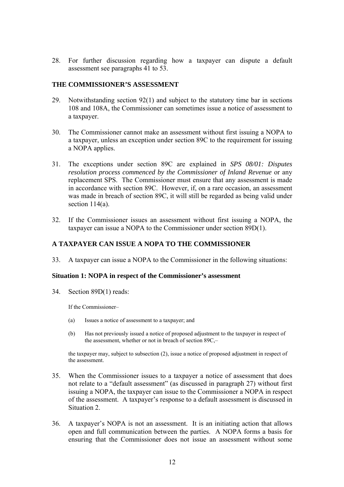28. For further discussion regarding how a taxpayer can dispute a default assessment see paragraphs 41 to 53.

## **THE COMMISSIONER'S ASSESSMENT**

- 29. Notwithstanding section 92(1) and subject to the statutory time bar in sections 108 and 108A, the Commissioner can sometimes issue a notice of assessment to a taxpayer.
- 30. The Commissioner cannot make an assessment without first issuing a NOPA to a taxpayer, unless an exception under section 89C to the requirement for issuing a NOPA applies.
- 31. The exceptions under section 89C are explained in *SPS 08/01: Disputes resolution process commenced by the Commissioner of Inland Revenue* or any replacement SPS. The Commissioner must ensure that any assessment is made in accordance with section 89C. However, if, on a rare occasion, an assessment was made in breach of section 89C, it will still be regarded as being valid under section 114(a).
- 32. If the Commissioner issues an assessment without first issuing a NOPA, the taxpayer can issue a NOPA to the Commissioner under section 89D(1).

## **A TAXPAYER CAN ISSUE A NOPA TO THE COMMISSIONER**

33. A taxpayer can issue a NOPA to the Commissioner in the following situations:

#### **Situation 1: NOPA in respect of the Commissioner's assessment**

34. Section 89D(1) reads:

If the Commissioner–

- (a) Issues a notice of assessment to a taxpayer; and
- (b) Has not previously issued a notice of proposed adjustment to the taxpayer in respect of the assessment, whether or not in breach of section 89C,–

the taxpayer may, subject to subsection (2), issue a notice of proposed adjustment in respect of the assessment.

- 35. When the Commissioner issues to a taxpayer a notice of assessment that does not relate to a "default assessment" (as discussed in paragraph 27) without first issuing a NOPA, the taxpayer can issue to the Commissioner a NOPA in respect of the assessment. A taxpayer's response to a default assessment is discussed in Situation 2.
- 36. A taxpayer's NOPA is not an assessment. It is an initiating action that allows open and full communication between the parties. A NOPA forms a basis for ensuring that the Commissioner does not issue an assessment without some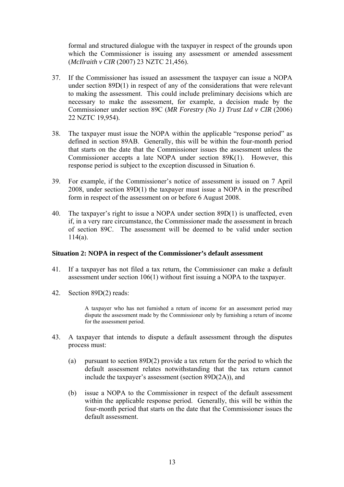formal and structured dialogue with the taxpayer in respect of the grounds upon which the Commissioner is issuing any assessment or amended assessment (*McIlraith v CIR* (2007) 23 NZTC 21,456).

- 37. If the Commissioner has issued an assessment the taxpayer can issue a NOPA under section 89D(1) in respect of any of the considerations that were relevant to making the assessment. This could include preliminary decisions which are necessary to make the assessment, for example, a decision made by the Commissioner under section 89C (*MR Forestry (No 1) Trust Ltd v CIR* (2006) 22 NZTC 19,954).
- 38. The taxpayer must issue the NOPA within the applicable "response period" as defined in section 89AB. Generally, this will be within the four-month period that starts on the date that the Commissioner issues the assessment unless the Commissioner accepts a late NOPA under section 89K(1). However, this response period is subject to the exception discussed in Situation 6.
- 39. For example, if the Commissioner's notice of assessment is issued on 7 April 2008, under section 89D(1) the taxpayer must issue a NOPA in the prescribed form in respect of the assessment on or before 6 August 2008.
- 40. The taxpayer's right to issue a NOPA under section 89D(1) is unaffected, even if, in a very rare circumstance, the Commissioner made the assessment in breach of section 89C. The assessment will be deemed to be valid under section  $114(a)$ .

#### **Situation 2: NOPA in respect of the Commissioner's default assessment**

- 41. If a taxpayer has not filed a tax return, the Commissioner can make a default assessment under section 106(1) without first issuing a NOPA to the taxpayer.
- 42. Section 89D(2) reads:

A taxpayer who has not furnished a return of income for an assessment period may dispute the assessment made by the Commissioner only by furnishing a return of income for the assessment period.

- 43. A taxpayer that intends to dispute a default assessment through the disputes process must:
	- (a) pursuant to section 89D(2) provide a tax return for the period to which the default assessment relates notwithstanding that the tax return cannot include the taxpayer's assessment (section 89D(2A)), and
	- (b) issue a NOPA to the Commissioner in respect of the default assessment within the applicable response period. Generally, this will be within the four-month period that starts on the date that the Commissioner issues the default assessment.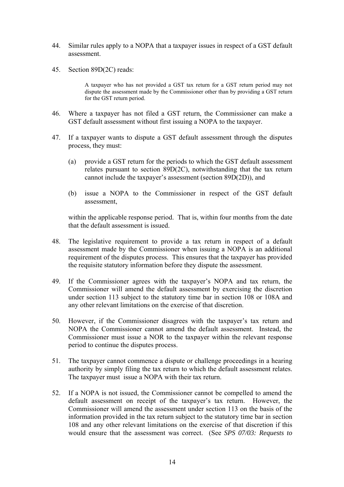- 44. Similar rules apply to a NOPA that a taxpayer issues in respect of a GST default assessment.
- 45. Section 89D(2C) reads:

A taxpayer who has not provided a GST tax return for a GST return period may not dispute the assessment made by the Commissioner other than by providing a GST return for the GST return period.

- 46. Where a taxpayer has not filed a GST return, the Commissioner can make a GST default assessment without first issuing a NOPA to the taxpayer.
- 47. If a taxpayer wants to dispute a GST default assessment through the disputes process, they must:
	- (a) provide a GST return for the periods to which the GST default assessment relates pursuant to section 89D(2C), notwithstanding that the tax return cannot include the taxpayer's assessment (section 89D(2D)), and
	- (b) issue a NOPA to the Commissioner in respect of the GST default assessment,

within the applicable response period. That is, within four months from the date that the default assessment is issued.

- 48. The legislative requirement to provide a tax return in respect of a default assessment made by the Commissioner when issuing a NOPA is an additional requirement of the disputes process. This ensures that the taxpayer has provided the requisite statutory information before they dispute the assessment.
- 49. If the Commissioner agrees with the taxpayer's NOPA and tax return, the Commissioner will amend the default assessment by exercising the discretion under section 113 subject to the statutory time bar in section 108 or 108A and any other relevant limitations on the exercise of that discretion.
- 50. However, if the Commissioner disagrees with the taxpayer's tax return and NOPA the Commissioner cannot amend the default assessment. Instead, the Commissioner must issue a NOR to the taxpayer within the relevant response period to continue the disputes process.
- 51. The taxpayer cannot commence a dispute or challenge proceedings in a hearing authority by simply filing the tax return to which the default assessment relates. The taxpayer must issue a NOPA with their tax return.
- 52. If a NOPA is not issued, the Commissioner cannot be compelled to amend the default assessment on receipt of the taxpayer's tax return. However, the Commissioner will amend the assessment under section 113 on the basis of the information provided in the tax return subject to the statutory time bar in section 108 and any other relevant limitations on the exercise of that discretion if this would ensure that the assessment was correct. (See *SPS 07/03: Requests to*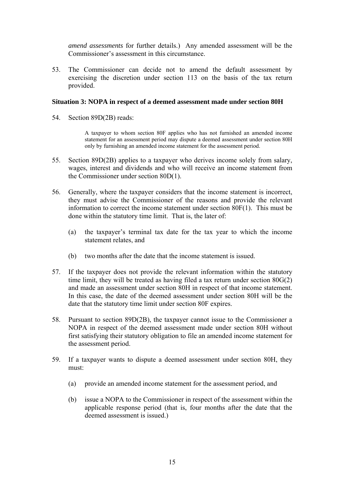*amend assessments* for further details.) Any amended assessment will be the Commissioner's assessment in this circumstance.

53. The Commissioner can decide not to amend the default assessment by exercising the discretion under section 113 on the basis of the tax return provided.

#### **Situation 3: NOPA in respect of a deemed assessment made under section 80H**

54. Section 89D(2B) reads:

A taxpayer to whom section 80F applies who has not furnished an amended income statement for an assessment period may dispute a deemed assessment under section 80H only by furnishing an amended income statement for the assessment period.

- 55. Section 89D(2B) applies to a taxpayer who derives income solely from salary, wages, interest and dividends and who will receive an income statement from the Commissioner under section 80D(1).
- 56. Generally, where the taxpayer considers that the income statement is incorrect, they must advise the Commissioner of the reasons and provide the relevant information to correct the income statement under section 80F(1). This must be done within the statutory time limit. That is, the later of:
	- (a) the taxpayer's terminal tax date for the tax year to which the income statement relates, and
	- (b) two months after the date that the income statement is issued.
- 57. If the taxpayer does not provide the relevant information within the statutory time limit, they will be treated as having filed a tax return under section 80G(2) and made an assessment under section 80H in respect of that income statement. In this case, the date of the deemed assessment under section 80H will be the date that the statutory time limit under section 80F expires.
- 58. Pursuant to section 89D(2B), the taxpayer cannot issue to the Commissioner a NOPA in respect of the deemed assessment made under section 80H without first satisfying their statutory obligation to file an amended income statement for the assessment period.
- 59. If a taxpayer wants to dispute a deemed assessment under section 80H, they must:
	- (a) provide an amended income statement for the assessment period, and
	- (b) issue a NOPA to the Commissioner in respect of the assessment within the applicable response period (that is, four months after the date that the deemed assessment is issued.)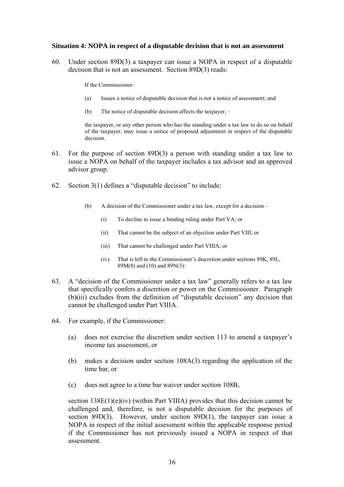#### **Situation 4: NOPA in respect of a disputable decision that is not an assessment**

60. Under section 89D(3) a taxpayer can issue a NOPA in respect of a disputable decision that is not an assessment. Section 89D(3) reads:

If the Commissioner–

- (a) Issues a notice of disputable decision that is not a notice of assessment; and
- (b) The notice of disputable decision affects the taxpayer, –

the taxpayer, or any other person who has the standing under a tax law to do so on behalf of the taxpayer, may issue a notice of proposed adjustment in respect of the disputable decision.

- 61. For the purpose of section 89D(3) a person with standing under a tax law to issue a NOPA on behalf of the taxpayer includes a tax advisor and an approved advisor group.
- 62. Section 3(1) defines a "disputable decision" to include:
	- (b) A decision of the Commissioner under a tax law, except for a decision
		- (i) To decline to issue a binding ruling under Part VA; or
		- (ii) That cannot be the subject of an objection under Part VIII; or
		- (iii) That cannot be challenged under Part VIIIA; or
		- (iv) That is left to the Commissioner's discretion under sections 89K, 89L, 89M(8) and (10) and 89N(3):
- 63. A "decision of the Commissioner under a tax law" generally refers to a tax law that specifically confers a discretion or power on the Commissioner. Paragraph (b)(iii) excludes from the definition of "disputable decision" any decision that cannot be challenged under Part VIIIA.
- 64. For example, if the Commissioner:
	- (a) does not exercise the discretion under section 113 to amend a taxpayer's income tax assessment, or
	- (b) makes a decision under section 108A(3) regarding the application of the time bar, or
	- (c) does not agree to a time bar waiver under section 108B,

section  $138E(1)(e)(iv)$  (within Part VIIIA) provides that this decision cannot be challenged and, therefore, is not a disputable decision for the purposes of section 89D(3). However, under section 89D(1), the taxpayer can issue a NOPA in respect of the initial assessment within the applicable response period if the Commissioner has not previously issued a NOPA in respect of that assessment.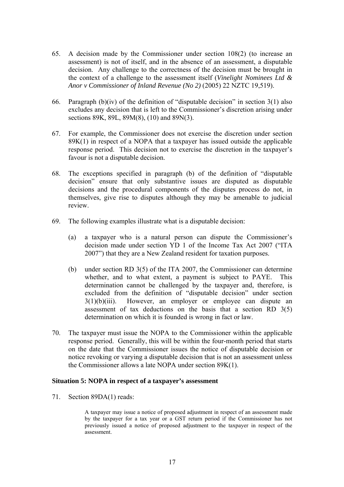- 65. A decision made by the Commissioner under section 108(2) (to increase an assessment) is not of itself, and in the absence of an assessment, a disputable decision. Any challenge to the correctness of the decision must be brought in the context of a challenge to the assessment itself (*Vinelight Nominees Ltd & Anor v Commissioner of Inland Revenue (No 2)* (2005) 22 NZTC 19,519).
- 66. Paragraph (b)(iv) of the definition of "disputable decision" in section  $3(1)$  also excludes any decision that is left to the Commissioner's discretion arising under sections 89K, 89L, 89M(8), (10) and 89N(3).
- 67. For example, the Commissioner does not exercise the discretion under section  $89K(1)$  in respect of a NOPA that a taxpayer has issued outside the applicable response period. This decision not to exercise the discretion in the taxpayer's favour is not a disputable decision.
- 68. The exceptions specified in paragraph (b) of the definition of "disputable decision" ensure that only substantive issues are disputed as disputable decisions and the procedural components of the disputes process do not, in themselves, give rise to disputes although they may be amenable to judicial review.
- 69. The following examples illustrate what is a disputable decision:
	- (a) a taxpayer who is a natural person can dispute the Commissioner's decision made under section YD 1 of the Income Tax Act 2007 ("ITA 2007") that they are a New Zealand resident for taxation purposes.
	- (b) under section RD 3(5) of the ITA 2007, the Commissioner can determine whether, and to what extent, a payment is subject to PAYE. This determination cannot be challenged by the taxpayer and, therefore, is excluded from the definition of "disputable decision" under section  $3(1)(b)(iii)$ . However, an employer or employee can dispute an assessment of tax deductions on the basis that a section RD 3(5) determination on which it is founded is wrong in fact or law.
- 70. The taxpayer must issue the NOPA to the Commissioner within the applicable response period. Generally, this will be within the four-month period that starts on the date that the Commissioner issues the notice of disputable decision or notice revoking or varying a disputable decision that is not an assessment unless the Commissioner allows a late NOPA under section 89K(1).

#### **Situation 5: NOPA in respect of a taxpayer's assessment**

71. Section 89DA(1) reads:

A taxpayer may issue a notice of proposed adjustment in respect of an assessment made by the taxpayer for a tax year or a GST return period if the Commissioner has not previously issued a notice of proposed adjustment to the taxpayer in respect of the assessment.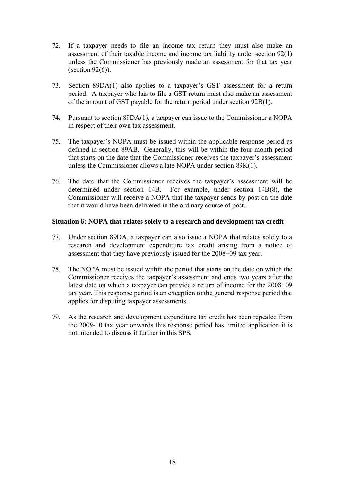- 72. If a taxpayer needs to file an income tax return they must also make an assessment of their taxable income and income tax liability under section 92(1) unless the Commissioner has previously made an assessment for that tax year (section  $92(6)$ ).
- 73. Section 89DA(1) also applies to a taxpayer's GST assessment for a return period. A taxpayer who has to file a GST return must also make an assessment of the amount of GST payable for the return period under section 92B(1).
- 74. Pursuant to section 89DA(1), a taxpayer can issue to the Commissioner a NOPA in respect of their own tax assessment.
- 75. The taxpayer's NOPA must be issued within the applicable response period as defined in section 89AB. Generally, this will be within the four-month period that starts on the date that the Commissioner receives the taxpayer's assessment unless the Commissioner allows a late NOPA under section 89K(1).
- 76. The date that the Commissioner receives the taxpayer's assessment will be determined under section 14B. For example, under section 14B(8), the Commissioner will receive a NOPA that the taxpayer sends by post on the date that it would have been delivered in the ordinary course of post.

#### **Situation 6: NOPA that relates solely to a research and development tax credit**

- 77. Under section 89DA, a taxpayer can also issue a NOPA that relates solely to a research and development expenditure tax credit arising from a notice of assessment that they have previously issued for the 2008−09 tax year.
- 78. The NOPA must be issued within the period that starts on the date on which the Commissioner receives the taxpayer's assessment and ends two years after the latest date on which a taxpayer can provide a return of income for the 2008−09 tax year. This response period is an exception to the general response period that applies for disputing taxpayer assessments.
- 79. As the research and development expenditure tax credit has been repealed from the 2009-10 tax year onwards this response period has limited application it is not intended to discuss it further in this SPS.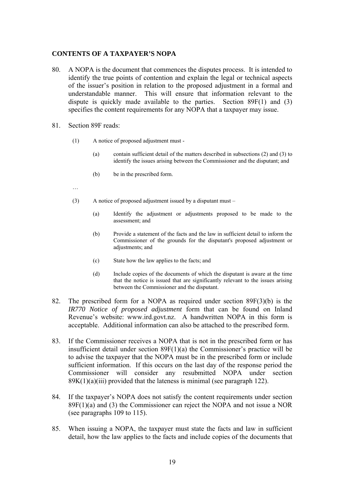#### **CONTENTS OF A TAXPAYER'S NOPA**

- 80. A NOPA is the document that commences the disputes process. It is intended to identify the true points of contention and explain the legal or technical aspects of the issuer's position in relation to the proposed adjustment in a formal and understandable manner. This will ensure that information relevant to the dispute is quickly made available to the parties. Section 89F(1) and (3) specifies the content requirements for any NOPA that a taxpayer may issue.
- 81. Section 89F reads:
	- (1) A notice of proposed adjustment must
		- (a) contain sufficient detail of the matters described in subsections (2) and (3) to identify the issues arising between the Commissioner and the disputant; and
		- (b) be in the prescribed form.
- …
	- (3) A notice of proposed adjustment issued by a disputant must
		- (a) Identify the adjustment or adjustments proposed to be made to the assessment; and
		- (b) Provide a statement of the facts and the law in sufficient detail to inform the Commissioner of the grounds for the disputant's proposed adjustment or adjustments; and
		- (c) State how the law applies to the facts; and
		- (d) Include copies of the documents of which the disputant is aware at the time that the notice is issued that are significantly relevant to the issues arising between the Commissioner and the disputant.
- 82. The prescribed form for a NOPA as required under section 89F(3)(b) is the *IR770 Notice of proposed adjustment* form that can be found on Inland Revenue's website: www.ird.govt.nz. A handwritten NOPA in this form is acceptable. Additional information can also be attached to the prescribed form.
- 83. If the Commissioner receives a NOPA that is not in the prescribed form or has insufficient detail under section 89F(1)(a) the Commissioner's practice will be to advise the taxpayer that the NOPA must be in the prescribed form or include sufficient information. If this occurs on the last day of the response period the Commissioner will consider any resubmitted NOPA under section  $89K(1)(a)(iii)$  provided that the lateness is minimal (see paragraph 122).
- 84. If the taxpayer's NOPA does not satisfy the content requirements under section  $89F(1)(a)$  and (3) the Commissioner can reject the NOPA and not issue a NOR (see paragraphs 109 to 115).
- 85. When issuing a NOPA, the taxpayer must state the facts and law in sufficient detail, how the law applies to the facts and include copies of the documents that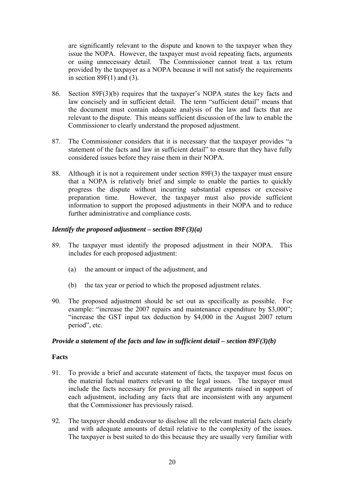are significantly relevant to the dispute and known to the taxpayer when they issue the NOPA. However, the taxpayer must avoid repeating facts, arguments or using unnecessary detail. The Commissioner cannot treat a tax return provided by the taxpayer as a NOPA because it will not satisfy the requirements in section  $89F(1)$  and  $(3)$ .

- 86. Section 89F(3)(b) requires that the taxpayer's NOPA states the key facts and law concisely and in sufficient detail. The term "sufficient detail" means that the document must contain adequate analysis of the law and facts that are relevant to the dispute. This means sufficient discussion of the law to enable the Commissioner to clearly understand the proposed adjustment.
- 87. The Commissioner considers that it is necessary that the taxpayer provides "a statement of the facts and law in sufficient detail" to ensure that they have fully considered issues before they raise them in their NOPA.
- 88. Although it is not a requirement under section 89F(3) the taxpayer must ensure that a NOPA is relatively brief and simple to enable the parties to quickly progress the dispute without incurring substantial expenses or excessive preparation time. However, the taxpayer must also provide sufficient information to support the proposed adjustments in their NOPA and to reduce further administrative and compliance costs.

## *Identify the proposed adjustment – section 89F(3)(a)*

- 89. The taxpayer must identify the proposed adjustment in their NOPA. This includes for each proposed adjustment:
	- (a) the amount or impact of the adjustment, and
	- (b) the tax year or period to which the proposed adjustment relates.
- 90. The proposed adjustment should be set out as specifically as possible. For example: "increase the 2007 repairs and maintenance expenditure by \$3,000"; "increase the GST input tax deduction by \$4,000 in the August 2007 return period", etc.

#### *Provide a statement of the facts and law in sufficient detail – section 89F(3)(b)*

#### **Facts**

- 91. To provide a brief and accurate statement of facts, the taxpayer must focus on the material factual matters relevant to the legal issues. The taxpayer must include the facts necessary for proving all the arguments raised in support of each adjustment, including any facts that are inconsistent with any argument that the Commissioner has previously raised.
- 92. The taxpayer should endeavour to disclose all the relevant material facts clearly and with adequate amounts of detail relative to the complexity of the issues. The taxpayer is best suited to do this because they are usually very familiar with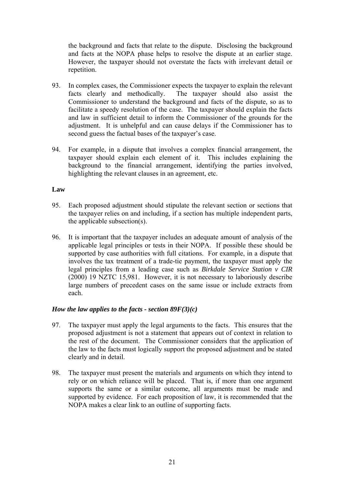the background and facts that relate to the dispute. Disclosing the background and facts at the NOPA phase helps to resolve the dispute at an earlier stage. However, the taxpayer should not overstate the facts with irrelevant detail or repetition.

- 93. In complex cases, the Commissioner expects the taxpayer to explain the relevant facts clearly and methodically. The taxpayer should also assist the Commissioner to understand the background and facts of the dispute, so as to facilitate a speedy resolution of the case. The taxpayer should explain the facts and law in sufficient detail to inform the Commissioner of the grounds for the adjustment. It is unhelpful and can cause delays if the Commissioner has to second guess the factual bases of the taxpayer's case.
- 94. For example, in a dispute that involves a complex financial arrangement, the taxpayer should explain each element of it. This includes explaining the background to the financial arrangement, identifying the parties involved, highlighting the relevant clauses in an agreement, etc.

## **Law**

- 95. Each proposed adjustment should stipulate the relevant section or sections that the taxpayer relies on and including, if a section has multiple independent parts, the applicable subsection(s).
- 96. It is important that the taxpayer includes an adequate amount of analysis of the applicable legal principles or tests in their NOPA. If possible these should be supported by case authorities with full citations. For example, in a dispute that involves the tax treatment of a trade-tie payment, the taxpayer must apply the legal principles from a leading case such as *Birkdale Service Station v CIR*  (2000) 19 NZTC 15,981. However, it is not necessary to laboriously describe large numbers of precedent cases on the same issue or include extracts from each.

#### *How the law applies to the facts - section 89F(3)(c)*

- 97. The taxpayer must apply the legal arguments to the facts. This ensures that the proposed adjustment is not a statement that appears out of context in relation to the rest of the document. The Commissioner considers that the application of the law to the facts must logically support the proposed adjustment and be stated clearly and in detail.
- 98. The taxpayer must present the materials and arguments on which they intend to rely or on which reliance will be placed. That is, if more than one argument supports the same or a similar outcome, all arguments must be made and supported by evidence. For each proposition of law, it is recommended that the NOPA makes a clear link to an outline of supporting facts.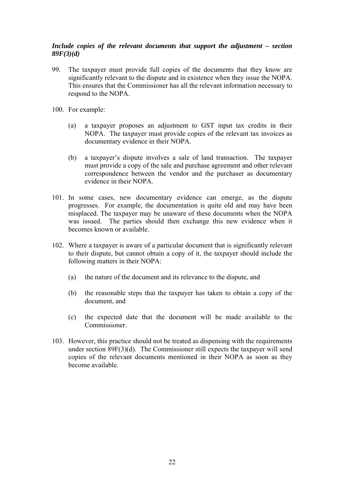## *Include copies of the relevant documents that support the adjustment – section 89F(3)(d)*

- 99. The taxpayer must provide full copies of the documents that they know are significantly relevant to the dispute and in existence when they issue the NOPA. This ensures that the Commissioner has all the relevant information necessary to respond to the NOPA.
- 100. For example:
	- (a) a taxpayer proposes an adjustment to GST input tax credits in their NOPA. The taxpayer must provide copies of the relevant tax invoices as documentary evidence in their NOPA.
	- (b) a taxpayer's dispute involves a sale of land transaction. The taxpayer must provide a copy of the sale and purchase agreement and other relevant correspondence between the vendor and the purchaser as documentary evidence in their NOPA.
- 101. In some cases, new documentary evidence can emerge, as the dispute progresses. For example, the documentation is quite old and may have been misplaced. The taxpayer may be unaware of these documents when the NOPA was issued. The parties should then exchange this new evidence when it becomes known or available.
- 102. Where a taxpayer is aware of a particular document that is significantly relevant to their dispute, but cannot obtain a copy of it, the taxpayer should include the following matters in their NOPA:
	- (a) the nature of the document and its relevance to the dispute, and
	- (b) the reasonable steps that the taxpayer has taken to obtain a copy of the document, and
	- (c) the expected date that the document will be made available to the Commissioner.
- 103. However, this practice should not be treated as dispensing with the requirements under section 89F(3)(d). The Commissioner still expects the taxpayer will send copies of the relevant documents mentioned in their NOPA as soon as they become available.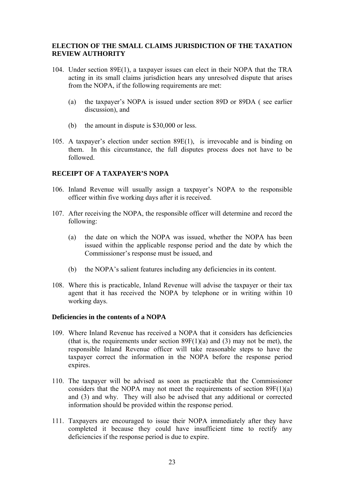## **ELECTION OF THE SMALL CLAIMS JURISDICTION OF THE TAXATION REVIEW AUTHORITY**

- 104. Under section 89E(1), a taxpayer issues can elect in their NOPA that the TRA acting in its small claims jurisdiction hears any unresolved dispute that arises from the NOPA, if the following requirements are met:
	- (a) the taxpayer's NOPA is issued under section 89D or 89DA ( see earlier discussion), and
	- (b) the amount in dispute is \$30,000 or less.
- 105. A taxpayer's election under section 89E(1), is irrevocable and is binding on them. In this circumstance, the full disputes process does not have to be followed.

## **RECEIPT OF A TAXPAYER'S NOPA**

- 106. Inland Revenue will usually assign a taxpayer's NOPA to the responsible officer within five working days after it is received.
- 107. After receiving the NOPA, the responsible officer will determine and record the following:
	- (a) the date on which the NOPA was issued, whether the NOPA has been issued within the applicable response period and the date by which the Commissioner's response must be issued, and
	- (b) the NOPA's salient features including any deficiencies in its content.
- 108. Where this is practicable, Inland Revenue will advise the taxpayer or their tax agent that it has received the NOPA by telephone or in writing within 10 working days.

#### **Deficiencies in the contents of a NOPA**

- 109. Where Inland Revenue has received a NOPA that it considers has deficiencies (that is, the requirements under section  $89F(1)(a)$  and (3) may not be met), the responsible Inland Revenue officer will take reasonable steps to have the taxpayer correct the information in the NOPA before the response period expires.
- 110. The taxpayer will be advised as soon as practicable that the Commissioner considers that the NOPA may not meet the requirements of section  $89F(1)(a)$ and (3) and why. They will also be advised that any additional or corrected information should be provided within the response period.
- 111. Taxpayers are encouraged to issue their NOPA immediately after they have completed it because they could have insufficient time to rectify any deficiencies if the response period is due to expire.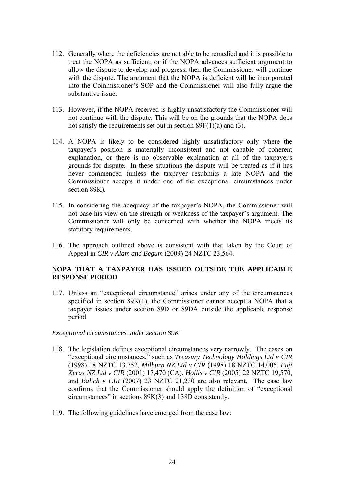- 112. Generally where the deficiencies are not able to be remedied and it is possible to treat the NOPA as sufficient, or if the NOPA advances sufficient argument to allow the dispute to develop and progress, then the Commissioner will continue with the dispute. The argument that the NOPA is deficient will be incorporated into the Commissioner's SOP and the Commissioner will also fully argue the substantive issue.
- 113. However, if the NOPA received is highly unsatisfactory the Commissioner will not continue with the dispute. This will be on the grounds that the NOPA does not satisfy the requirements set out in section 89F(1)(a) and (3).
- 114. A NOPA is likely to be considered highly unsatisfactory only where the taxpayer's position is materially inconsistent and not capable of coherent explanation, or there is no observable explanation at all of the taxpayer's grounds for dispute. In these situations the dispute will be treated as if it has never commenced (unless the taxpayer resubmits a late NOPA and the Commissioner accepts it under one of the exceptional circumstances under section 89K).
- 115. In considering the adequacy of the taxpayer's NOPA, the Commissioner will not base his view on the strength or weakness of the taxpayer's argument. The Commissioner will only be concerned with whether the NOPA meets its statutory requirements.
- 116. The approach outlined above is consistent with that taken by the Court of Appeal in *CIR v Alam and Begum* (2009) 24 NZTC 23,564.

## **NOPA THAT A TAXPAYER HAS ISSUED OUTSIDE THE APPLICABLE RESPONSE PERIOD**

117. Unless an "exceptional circumstance" arises under any of the circumstances specified in section 89K(1), the Commissioner cannot accept a NOPA that a taxpayer issues under section 89D or 89DA outside the applicable response period.

#### *Exceptional circumstances under section 89K*

- 118. The legislation defines exceptional circumstances very narrowly. The cases on "exceptional circumstances," such as *Treasury Technology Holdings Ltd v CIR*  (1998) 18 NZTC 13,752, *Milburn NZ Ltd v CIR* (1998) 18 NZTC 14,005, *Fuji Xerox NZ Ltd v CIR* (2001) 17,470 (CA), *Hollis v CIR* (2005) 22 NZTC 19,570, and *Balich v CIR* (2007) 23 NZTC 21,230 are also relevant. The case law confirms that the Commissioner should apply the definition of "exceptional circumstances" in sections 89K(3) and 138D consistently.
- 119. The following guidelines have emerged from the case law: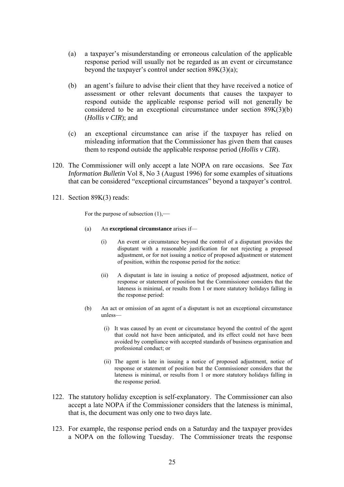- (a) a taxpayer's misunderstanding or erroneous calculation of the applicable response period will usually not be regarded as an event or circumstance beyond the taxpayer's control under section 89K(3)(a);
- (b) an agent's failure to advise their client that they have received a notice of assessment or other relevant documents that causes the taxpayer to respond outside the applicable response period will not generally be considered to be an exceptional circumstance under section 89K(3)(b) (*Hollis v CIR*); and
- (c) an exceptional circumstance can arise if the taxpayer has relied on misleading information that the Commissioner has given them that causes them to respond outside the applicable response period (*Hollis v CIR*).
- 120. The Commissioner will only accept a late NOPA on rare occasions. See *Tax Information Bulletin* Vol 8, No 3 (August 1996) for some examples of situations that can be considered "exceptional circumstances" beyond a taxpayer's control.
- 121. Section 89K(3) reads:

For the purpose of subsection  $(1)$ ,—

- (a) An **exceptional circumstance** arises if—
	- (i) An event or circumstance beyond the control of a disputant provides the disputant with a reasonable justification for not rejecting a proposed adjustment, or for not issuing a notice of proposed adjustment or statement of position, within the response period for the notice:
	- (ii) A disputant is late in issuing a notice of proposed adjustment, notice of response or statement of position but the Commissioner considers that the lateness is minimal, or results from 1 or more statutory holidays falling in the response period:
- (b) An act or omission of an agent of a disputant is not an exceptional circumstance unless—
	- (i) It was caused by an event or circumstance beyond the control of the agent that could not have been anticipated, and its effect could not have been avoided by compliance with accepted standards of business organisation and professional conduct; or
	- (ii) The agent is late in issuing a notice of proposed adjustment, notice of response or statement of position but the Commissioner considers that the lateness is minimal, or results from 1 or more statutory holidays falling in the response period.
- 122. The statutory holiday exception is self-explanatory. The Commissioner can also accept a late NOPA if the Commissioner considers that the lateness is minimal, that is, the document was only one to two days late.
- 123. For example, the response period ends on a Saturday and the taxpayer provides a NOPA on the following Tuesday. The Commissioner treats the response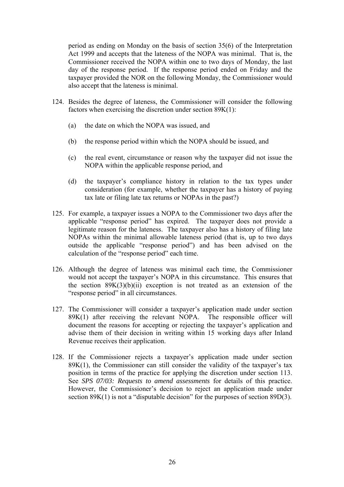period as ending on Monday on the basis of section 35(6) of the Interpretation Act 1999 and accepts that the lateness of the NOPA was minimal. That is, the Commissioner received the NOPA within one to two days of Monday, the last day of the response period. If the response period ended on Friday and the taxpayer provided the NOR on the following Monday, the Commissioner would also accept that the lateness is minimal.

- 124. Besides the degree of lateness, the Commissioner will consider the following factors when exercising the discretion under section 89K(1):
	- (a) the date on which the NOPA was issued, and
	- (b) the response period within which the NOPA should be issued, and
	- (c) the real event, circumstance or reason why the taxpayer did not issue the NOPA within the applicable response period, and
	- (d) the taxpayer's compliance history in relation to the tax types under consideration (for example, whether the taxpayer has a history of paying tax late or filing late tax returns or NOPAs in the past?)
- 125. For example, a taxpayer issues a NOPA to the Commissioner two days after the applicable "response period" has expired. The taxpayer does not provide a legitimate reason for the lateness. The taxpayer also has a history of filing late NOPAs within the minimal allowable lateness period (that is, up to two days outside the applicable "response period") and has been advised on the calculation of the "response period" each time.
- 126. Although the degree of lateness was minimal each time, the Commissioner would not accept the taxpayer's NOPA in this circumstance. This ensures that the section  $89K(3)(b)(ii)$  exception is not treated as an extension of the "response period" in all circumstances.
- 127. The Commissioner will consider a taxpayer's application made under section 89K(1) after receiving the relevant NOPA. The responsible officer will document the reasons for accepting or rejecting the taxpayer's application and advise them of their decision in writing within 15 working days after Inland Revenue receives their application.
- 128. If the Commissioner rejects a taxpayer's application made under section 89K(1), the Commissioner can still consider the validity of the taxpayer's tax position in terms of the practice for applying the discretion under section 113. See *SPS 07/03: Requests to amend assessments* for details of this practice. However, the Commissioner's decision to reject an application made under section 89K(1) is not a "disputable decision" for the purposes of section 89D(3).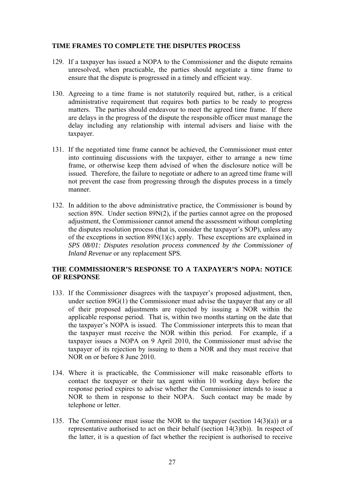## **TIME FRAMES TO COMPLETE THE DISPUTES PROCESS**

- 129. If a taxpayer has issued a NOPA to the Commissioner and the dispute remains unresolved, when practicable, the parties should negotiate a time frame to ensure that the dispute is progressed in a timely and efficient way.
- 130. Agreeing to a time frame is not statutorily required but, rather, is a critical administrative requirement that requires both parties to be ready to progress matters. The parties should endeavour to meet the agreed time frame. If there are delays in the progress of the dispute the responsible officer must manage the delay including any relationship with internal advisers and liaise with the taxpayer.
- 131. If the negotiated time frame cannot be achieved, the Commissioner must enter into continuing discussions with the taxpayer, either to arrange a new time frame, or otherwise keep them advised of when the disclosure notice will be issued. Therefore, the failure to negotiate or adhere to an agreed time frame will not prevent the case from progressing through the disputes process in a timely manner.
- 132. In addition to the above administrative practice, the Commissioner is bound by section 89N. Under section 89N(2), if the parties cannot agree on the proposed adjustment, the Commissioner cannot amend the assessment without completing the disputes resolution process (that is, consider the taxpayer's SOP), unless any of the exceptions in section 89N(1)(c) apply. These exceptions are explained in *SPS 08/01: Disputes resolution process commenced by the Commissioner of Inland Revenue* or any replacement SPS.

## **THE COMMISSIONER'S RESPONSE TO A TAXPAYER'S NOPA: NOTICE OF RESPONSE**

- 133. If the Commissioner disagrees with the taxpayer's proposed adjustment, then, under section 89G(1) the Commissioner must advise the taxpayer that any or all of their proposed adjustments are rejected by issuing a NOR within the applicable response period. That is, within two months starting on the date that the taxpayer's NOPA is issued. The Commissioner interprets this to mean that the taxpayer must receive the NOR within this period. For example, if a taxpayer issues a NOPA on 9 April 2010, the Commissioner must advise the taxpayer of its rejection by issuing to them a NOR and they must receive that NOR on or before 8 June 2010.
- 134. Where it is practicable, the Commissioner will make reasonable efforts to contact the taxpayer or their tax agent within 10 working days before the response period expires to advise whether the Commissioner intends to issue a NOR to them in response to their NOPA. Such contact may be made by telephone or letter.
- 135. The Commissioner must issue the NOR to the taxpayer (section 14(3)(a)) or a representative authorised to act on their behalf (section 14(3)(b)). In respect of the latter, it is a question of fact whether the recipient is authorised to receive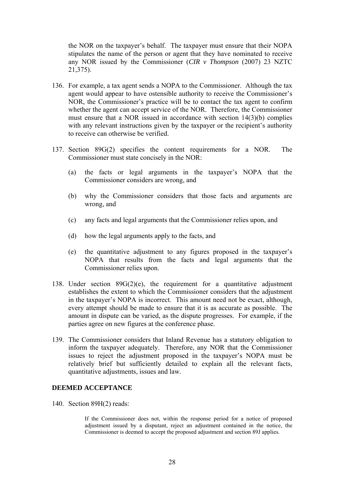the NOR on the taxpayer's behalf. The taxpayer must ensure that their NOPA stipulates the name of the person or agent that they have nominated to receive any NOR issued by the Commissioner (*CIR v Thompson* (2007) 23 NZTC 21,375).

- 136. For example, a tax agent sends a NOPA to the Commissioner. Although the tax agent would appear to have ostensible authority to receive the Commissioner's NOR, the Commissioner's practice will be to contact the tax agent to confirm whether the agent can accept service of the NOR. Therefore, the Commissioner must ensure that a NOR issued in accordance with section 14(3)(b) complies with any relevant instructions given by the taxpayer or the recipient's authority to receive can otherwise be verified.
- 137. Section 89G(2) specifies the content requirements for a NOR. The Commissioner must state concisely in the NOR:
	- (a) the facts or legal arguments in the taxpayer's NOPA that the Commissioner considers are wrong, and
	- (b) why the Commissioner considers that those facts and arguments are wrong, and
	- (c) any facts and legal arguments that the Commissioner relies upon, and
	- (d) how the legal arguments apply to the facts, and
	- (e) the quantitative adjustment to any figures proposed in the taxpayer's NOPA that results from the facts and legal arguments that the Commissioner relies upon.
- 138. Under section  $89G(2)(e)$ , the requirement for a quantitative adjustment establishes the extent to which the Commissioner considers that the adjustment in the taxpayer's NOPA is incorrect. This amount need not be exact, although, every attempt should be made to ensure that it is as accurate as possible. The amount in dispute can be varied, as the dispute progresses. For example, if the parties agree on new figures at the conference phase.
- 139. The Commissioner considers that Inland Revenue has a statutory obligation to inform the taxpayer adequately. Therefore, any NOR that the Commissioner issues to reject the adjustment proposed in the taxpayer's NOPA must be relatively brief but sufficiently detailed to explain all the relevant facts, quantitative adjustments, issues and law.

#### **DEEMED ACCEPTANCE**

140. Section 89H(2) reads:

If the Commissioner does not, within the response period for a notice of proposed adjustment issued by a disputant, reject an adjustment contained in the notice, the Commissioner is deemed to accept the proposed adjustment and section 89J applies.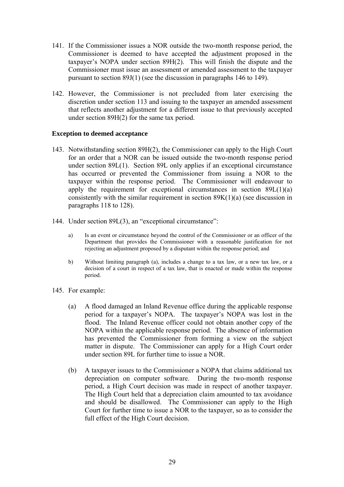- 141. If the Commissioner issues a NOR outside the two-month response period, the Commissioner is deemed to have accepted the adjustment proposed in the taxpayer's NOPA under section 89H(2). This will finish the dispute and the Commissioner must issue an assessment or amended assessment to the taxpayer pursuant to section 89J(1) (see the discussion in paragraphs 146 to 149).
- 142. However, the Commissioner is not precluded from later exercising the discretion under section 113 and issuing to the taxpayer an amended assessment that reflects another adjustment for a different issue to that previously accepted under section 89H(2) for the same tax period.

## **Exception to deemed acceptance**

- 143. Notwithstanding section 89H(2), the Commissioner can apply to the High Court for an order that a NOR can be issued outside the two-month response period under section 89L(1). Section 89L only applies if an exceptional circumstance has occurred or prevented the Commissioner from issuing a NOR to the taxpayer within the response period. The Commissioner will endeavour to apply the requirement for exceptional circumstances in section 89L(1)(a) consistently with the similar requirement in section 89K(1)(a) (see discussion in paragraphs 118 to 128).
- 144. Under section 89L(3), an "exceptional circumstance":
	- a) Is an event or circumstance beyond the control of the Commissioner or an officer of the Department that provides the Commissioner with a reasonable justification for not rejecting an adjustment proposed by a disputant within the response period; and
	- b) Without limiting paragraph (a), includes a change to a tax law, or a new tax law, or a decision of a court in respect of a tax law, that is enacted or made within the response period.
- 145. For example:
	- (a) A flood damaged an Inland Revenue office during the applicable response period for a taxpayer's NOPA. The taxpayer's NOPA was lost in the flood. The Inland Revenue officer could not obtain another copy of the NOPA within the applicable response period. The absence of information has prevented the Commissioner from forming a view on the subject matter in dispute. The Commissioner can apply for a High Court order under section 89L for further time to issue a NOR.
	- (b) A taxpayer issues to the Commissioner a NOPA that claims additional tax depreciation on computer software. During the two-month response period, a High Court decision was made in respect of another taxpayer. The High Court held that a depreciation claim amounted to tax avoidance and should be disallowed. The Commissioner can apply to the High Court for further time to issue a NOR to the taxpayer, so as to consider the full effect of the High Court decision.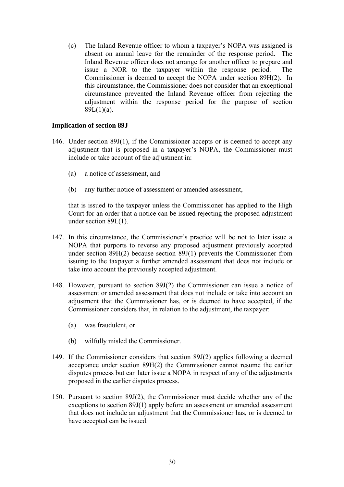(c) The Inland Revenue officer to whom a taxpayer's NOPA was assigned is absent on annual leave for the remainder of the response period. The Inland Revenue officer does not arrange for another officer to prepare and issue a NOR to the taxpayer within the response period. The Commissioner is deemed to accept the NOPA under section 89H(2). In this circumstance, the Commissioner does not consider that an exceptional circumstance prevented the Inland Revenue officer from rejecting the adjustment within the response period for the purpose of section  $89L(1)(a)$ .

## **Implication of section 89J**

- 146. Under section 89J(1), if the Commissioner accepts or is deemed to accept any adjustment that is proposed in a taxpayer's NOPA, the Commissioner must include or take account of the adjustment in:
	- (a) a notice of assessment, and
	- (b) any further notice of assessment or amended assessment,

that is issued to the taxpayer unless the Commissioner has applied to the High Court for an order that a notice can be issued rejecting the proposed adjustment under section 89L(1).

- 147. In this circumstance, the Commissioner's practice will be not to later issue a NOPA that purports to reverse any proposed adjustment previously accepted under section 89H(2) because section 89J(1) prevents the Commissioner from issuing to the taxpayer a further amended assessment that does not include or take into account the previously accepted adjustment.
- 148. However, pursuant to section 89J(2) the Commissioner can issue a notice of assessment or amended assessment that does not include or take into account an adjustment that the Commissioner has, or is deemed to have accepted, if the Commissioner considers that, in relation to the adjustment, the taxpayer:
	- (a) was fraudulent, or
	- (b) wilfully misled the Commissioner.
- 149. If the Commissioner considers that section 89J(2) applies following a deemed acceptance under section 89H(2) the Commissioner cannot resume the earlier disputes process but can later issue a NOPA in respect of any of the adjustments proposed in the earlier disputes process.
- 150. Pursuant to section 89J(2), the Commissioner must decide whether any of the exceptions to section 89J(1) apply before an assessment or amended assessment that does not include an adjustment that the Commissioner has, or is deemed to have accepted can be issued.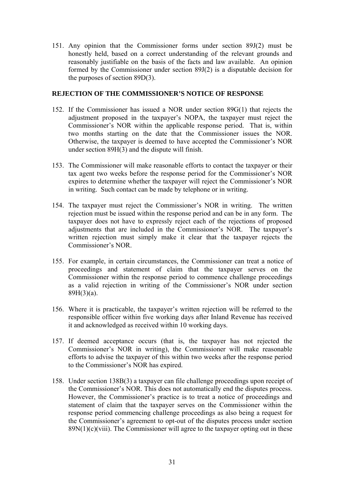151. Any opinion that the Commissioner forms under section 89J(2) must be honestly held, based on a correct understanding of the relevant grounds and reasonably justifiable on the basis of the facts and law available. An opinion formed by the Commissioner under section 89J(2) is a disputable decision for the purposes of section 89D(3).

### **REJECTION OF THE COMMISSIONER'S NOTICE OF RESPONSE**

- 152. If the Commissioner has issued a NOR under section 89G(1) that rejects the adjustment proposed in the taxpayer's NOPA, the taxpayer must reject the Commissioner's NOR within the applicable response period. That is, within two months starting on the date that the Commissioner issues the NOR. Otherwise, the taxpayer is deemed to have accepted the Commissioner's NOR under section 89H(3) and the dispute will finish.
- 153. The Commissioner will make reasonable efforts to contact the taxpayer or their tax agent two weeks before the response period for the Commissioner's NOR expires to determine whether the taxpayer will reject the Commissioner's NOR in writing. Such contact can be made by telephone or in writing.
- 154. The taxpayer must reject the Commissioner's NOR in writing. The written rejection must be issued within the response period and can be in any form. The taxpayer does not have to expressly reject each of the rejections of proposed adjustments that are included in the Commissioner's NOR. The taxpayer's written rejection must simply make it clear that the taxpayer rejects the Commissioner's NOR.
- 155. For example, in certain circumstances, the Commissioner can treat a notice of proceedings and statement of claim that the taxpayer serves on the Commissioner within the response period to commence challenge proceedings as a valid rejection in writing of the Commissioner's NOR under section 89H(3)(a).
- 156. Where it is practicable, the taxpayer's written rejection will be referred to the responsible officer within five working days after Inland Revenue has received it and acknowledged as received within 10 working days.
- 157. If deemed acceptance occurs (that is, the taxpayer has not rejected the Commissioner's NOR in writing), the Commissioner will make reasonable efforts to advise the taxpayer of this within two weeks after the response period to the Commissioner's NOR has expired.
- 158. Under section 138B(3) a taxpayer can file challenge proceedings upon receipt of the Commissioner's NOR. This does not automatically end the disputes process. However, the Commissioner's practice is to treat a notice of proceedings and statement of claim that the taxpayer serves on the Commissioner within the response period commencing challenge proceedings as also being a request for the Commissioner's agreement to opt-out of the disputes process under section  $89N(1)(c)(viii)$ . The Commissioner will agree to the taxpayer opting out in these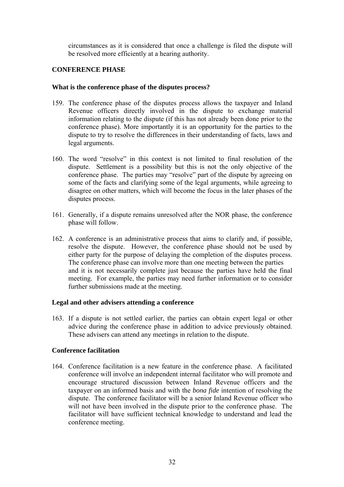circumstances as it is considered that once a challenge is filed the dispute will be resolved more efficiently at a hearing authority.

## **CONFERENCE PHASE**

#### **What is the conference phase of the disputes process?**

- 159. The conference phase of the disputes process allows the taxpayer and Inland Revenue officers directly involved in the dispute to exchange material information relating to the dispute (if this has not already been done prior to the conference phase). More importantly it is an opportunity for the parties to the dispute to try to resolve the differences in their understanding of facts, laws and legal arguments.
- 160. The word "resolve" in this context is not limited to final resolution of the dispute. Settlement is a possibility but this is not the only objective of the conference phase. The parties may "resolve" part of the dispute by agreeing on some of the facts and clarifying some of the legal arguments, while agreeing to disagree on other matters, which will become the focus in the later phases of the disputes process.
- 161. Generally, if a dispute remains unresolved after the NOR phase, the conference phase will follow.
- 162. A conference is an administrative process that aims to clarify and, if possible, resolve the dispute. However, the conference phase should not be used by either party for the purpose of delaying the completion of the disputes process. The conference phase can involve more than one meeting between the parties and it is not necessarily complete just because the parties have held the final meeting. For example, the parties may need further information or to consider further submissions made at the meeting.

#### **Legal and other advisers attending a conference**

163. If a dispute is not settled earlier, the parties can obtain expert legal or other advice during the conference phase in addition to advice previously obtained. These advisers can attend any meetings in relation to the dispute.

#### **Conference facilitation**

164. Conference facilitation is a new feature in the conference phase. A facilitated conference will involve an independent internal facilitator who will promote and encourage structured discussion between Inland Revenue officers and the taxpayer on an informed basis and with the *bona fide* intention of resolving the dispute. The conference facilitator will be a senior Inland Revenue officer who will not have been involved in the dispute prior to the conference phase. The facilitator will have sufficient technical knowledge to understand and lead the conference meeting.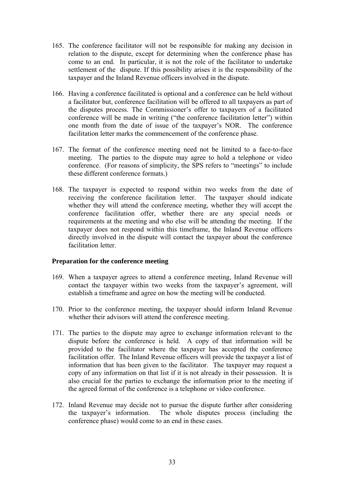- 165. The conference facilitator will not be responsible for making any decision in relation to the dispute, except for determining when the conference phase has come to an end. In particular, it is not the role of the facilitator to undertake settlement of the dispute. If this possibility arises it is the responsibility of the taxpayer and the Inland Revenue officers involved in the dispute.
- 166. Having a conference facilitated is optional and a conference can be held without a facilitator but, conference facilitation will be offered to all taxpayers as part of the disputes process. The Commissioner's offer to taxpayers of a facilitated conference will be made in writing ("the conference facilitation letter") within one month from the date of issue of the taxpayer's NOR. The conference facilitation letter marks the commencement of the conference phase.
- 167. The format of the conference meeting need not be limited to a face-to-face meeting. The parties to the dispute may agree to hold a telephone or video conference. (For reasons of simplicity, the SPS refers to "meetings" to include these different conference formats.)
- 168. The taxpayer is expected to respond within two weeks from the date of receiving the conference facilitation letter. The taxpayer should indicate whether they will attend the conference meeting, whether they will accept the conference facilitation offer, whether there are any special needs or requirements at the meeting and who else will be attending the meeting. If the taxpayer does not respond within this timeframe, the Inland Revenue officers directly involved in the dispute will contact the taxpayer about the conference facilitation letter

#### **Preparation for the conference meeting**

- 169. When a taxpayer agrees to attend a conference meeting, Inland Revenue will contact the taxpayer within two weeks from the taxpayer's agreement, will establish a timeframe and agree on how the meeting will be conducted.
- 170. Prior to the conference meeting, the taxpayer should inform Inland Revenue whether their advisors will attend the conference meeting.
- 171. The parties to the dispute may agree to exchange information relevant to the dispute before the conference is held. A copy of that information will be provided to the facilitator where the taxpayer has accepted the conference facilitation offer. The Inland Revenue officers will provide the taxpayer a list of information that has been given to the facilitator. The taxpayer may request a copy of any information on that list if it is not already in their possession. It is also crucial for the parties to exchange the information prior to the meeting if the agreed format of the conference is a telephone or video conference.
- 172. Inland Revenue may decide not to pursue the dispute further after considering the taxpayer's information. The whole disputes process (including the conference phase) would come to an end in these cases.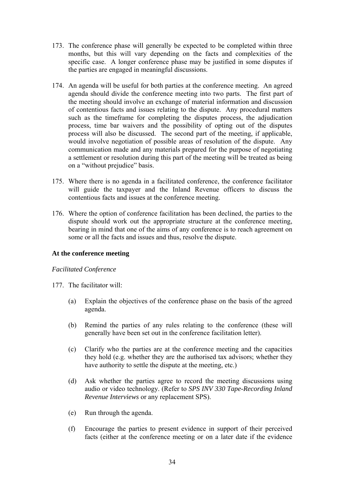- 173. The conference phase will generally be expected to be completed within three months, but this will vary depending on the facts and complexities of the specific case. A longer conference phase may be justified in some disputes if the parties are engaged in meaningful discussions.
- 174. An agenda will be useful for both parties at the conference meeting. An agreed agenda should divide the conference meeting into two parts. The first part of the meeting should involve an exchange of material information and discussion of contentious facts and issues relating to the dispute. Any procedural matters such as the timeframe for completing the disputes process, the adjudication process, time bar waivers and the possibility of opting out of the disputes process will also be discussed. The second part of the meeting, if applicable, would involve negotiation of possible areas of resolution of the dispute. Any communication made and any materials prepared for the purpose of negotiating a settlement or resolution during this part of the meeting will be treated as being on a "without prejudice" basis.
- 175. Where there is no agenda in a facilitated conference, the conference facilitator will guide the taxpayer and the Inland Revenue officers to discuss the contentious facts and issues at the conference meeting.
- 176. Where the option of conference facilitation has been declined, the parties to the dispute should work out the appropriate structure at the conference meeting, bearing in mind that one of the aims of any conference is to reach agreement on some or all the facts and issues and thus, resolve the dispute.

## **At the conference meeting**

#### *Facilitated Conference*

- 177. The facilitator will:
	- (a) Explain the objectives of the conference phase on the basis of the agreed agenda.
	- (b) Remind the parties of any rules relating to the conference (these will generally have been set out in the conference facilitation letter).
	- (c) Clarify who the parties are at the conference meeting and the capacities they hold (e.g. whether they are the authorised tax advisors; whether they have authority to settle the dispute at the meeting, etc.)
	- (d) Ask whether the parties agree to record the meeting discussions using audio or video technology. (Refer to *SPS INV 330 Tape-Recording Inland Revenue Interviews* or any replacement SPS).
	- (e) Run through the agenda.
	- (f) Encourage the parties to present evidence in support of their perceived facts (either at the conference meeting or on a later date if the evidence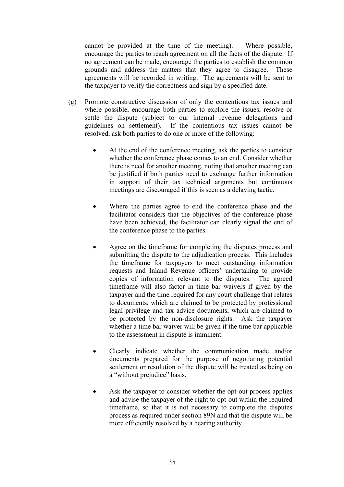cannot be provided at the time of the meeting). Where possible, encourage the parties to reach agreement on all the facts of the dispute. If no agreement can be made, encourage the parties to establish the common grounds and address the matters that they agree to disagree. These agreements will be recorded in writing. The agreements will be sent to the taxpayer to verify the correctness and sign by a specified date.

- (g) Promote constructive discussion of only the contentious tax issues and where possible, encourage both parties to explore the issues, resolve or settle the dispute (subject to our internal revenue delegations and guidelines on settlement). If the contentious tax issues cannot be resolved, ask both parties to do one or more of the following:
	- At the end of the conference meeting, ask the parties to consider whether the conference phase comes to an end. Consider whether there is need for another meeting, noting that another meeting can be justified if both parties need to exchange further information in support of their tax technical arguments but continuous meetings are discouraged if this is seen as a delaying tactic.
	- Where the parties agree to end the conference phase and the facilitator considers that the objectives of the conference phase have been achieved, the facilitator can clearly signal the end of the conference phase to the parties.
	- Agree on the timeframe for completing the disputes process and submitting the dispute to the adjudication process. This includes the timeframe for taxpayers to meet outstanding information requests and Inland Revenue officers' undertaking to provide copies of information relevant to the disputes. The agreed timeframe will also factor in time bar waivers if given by the taxpayer and the time required for any court challenge that relates to documents, which are claimed to be protected by professional legal privilege and tax advice documents, which are claimed to be protected by the non-disclosure rights. Ask the taxpayer whether a time bar waiver will be given if the time bar applicable to the assessment in dispute is imminent.
	- Clearly indicate whether the communication made and/or documents prepared for the purpose of negotiating potential settlement or resolution of the dispute will be treated as being on a "without prejudice" basis.
	- Ask the taxpayer to consider whether the opt-out process applies and advise the taxpayer of the right to opt-out within the required timeframe, so that it is not necessary to complete the disputes process as required under section 89N and that the dispute will be more efficiently resolved by a hearing authority.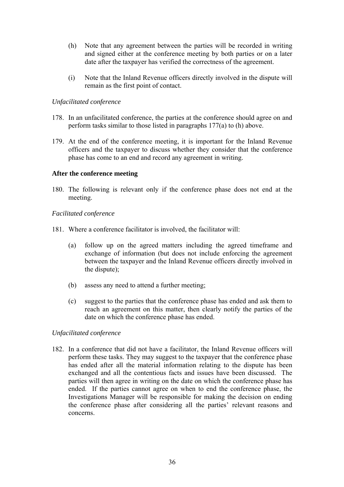- (h) Note that any agreement between the parties will be recorded in writing and signed either at the conference meeting by both parties or on a later date after the taxpayer has verified the correctness of the agreement.
- (i) Note that the Inland Revenue officers directly involved in the dispute will remain as the first point of contact.

### *Unfacilitated conference*

- 178. In an unfacilitated conference, the parties at the conference should agree on and perform tasks similar to those listed in paragraphs 177(a) to (h) above.
- 179. At the end of the conference meeting, it is important for the Inland Revenue officers and the taxpayer to discuss whether they consider that the conference phase has come to an end and record any agreement in writing.

## **After the conference meeting**

180. The following is relevant only if the conference phase does not end at the meeting.

## *Facilitated conference*

- 181. Where a conference facilitator is involved, the facilitator will:
	- (a) follow up on the agreed matters including the agreed timeframe and exchange of information (but does not include enforcing the agreement between the taxpayer and the Inland Revenue officers directly involved in the dispute);
	- (b) assess any need to attend a further meeting;
	- (c) suggest to the parties that the conference phase has ended and ask them to reach an agreement on this matter, then clearly notify the parties of the date on which the conference phase has ended.

## *Unfacilitated conference*

182. In a conference that did not have a facilitator, the Inland Revenue officers will perform these tasks. They may suggest to the taxpayer that the conference phase has ended after all the material information relating to the dispute has been exchanged and all the contentious facts and issues have been discussed. The parties will then agree in writing on the date on which the conference phase has ended. If the parties cannot agree on when to end the conference phase, the Investigations Manager will be responsible for making the decision on ending the conference phase after considering all the parties' relevant reasons and concerns.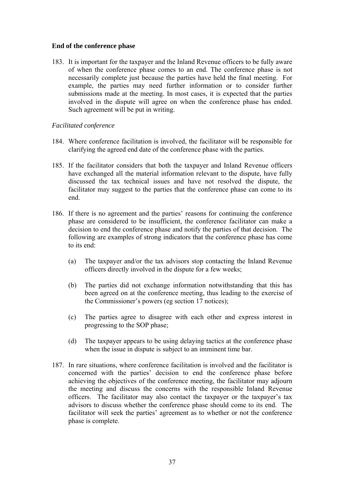#### **End of the conference phase**

183. It is important for the taxpayer and the Inland Revenue officers to be fully aware of when the conference phase comes to an end. The conference phase is not necessarily complete just because the parties have held the final meeting. For example, the parties may need further information or to consider further submissions made at the meeting. In most cases, it is expected that the parties involved in the dispute will agree on when the conference phase has ended. Such agreement will be put in writing.

#### *Facilitated conference*

- 184. Where conference facilitation is involved, the facilitator will be responsible for clarifying the agreed end date of the conference phase with the parties.
- 185. If the facilitator considers that both the taxpayer and Inland Revenue officers have exchanged all the material information relevant to the dispute, have fully discussed the tax technical issues and have not resolved the dispute, the facilitator may suggest to the parties that the conference phase can come to its end.
- 186. If there is no agreement and the parties' reasons for continuing the conference phase are considered to be insufficient, the conference facilitator can make a decision to end the conference phase and notify the parties of that decision. The following are examples of strong indicators that the conference phase has come to its end:
	- (a) The taxpayer and/or the tax advisors stop contacting the Inland Revenue officers directly involved in the dispute for a few weeks;
	- (b) The parties did not exchange information notwithstanding that this has been agreed on at the conference meeting, thus leading to the exercise of the Commissioner's powers (eg section 17 notices);
	- (c) The parties agree to disagree with each other and express interest in progressing to the SOP phase;
	- (d) The taxpayer appears to be using delaying tactics at the conference phase when the issue in dispute is subject to an imminent time bar.
- 187. In rare situations, where conference facilitation is involved and the facilitator is concerned with the parties' decision to end the conference phase before achieving the objectives of the conference meeting, the facilitator may adjourn the meeting and discuss the concerns with the responsible Inland Revenue officers. The facilitator may also contact the taxpayer or the taxpayer's tax advisors to discuss whether the conference phase should come to its end. The facilitator will seek the parties' agreement as to whether or not the conference phase is complete.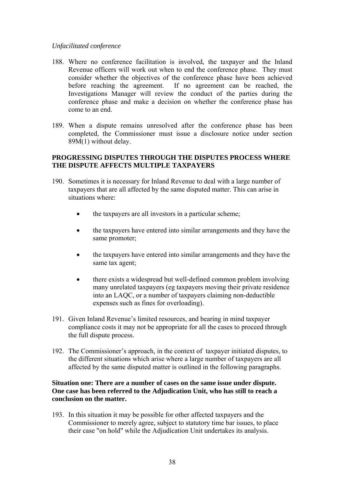### *Unfacilitated conference*

- 188. Where no conference facilitation is involved, the taxpayer and the Inland Revenue officers will work out when to end the conference phase. They must consider whether the objectives of the conference phase have been achieved before reaching the agreement. If no agreement can be reached, the Investigations Manager will review the conduct of the parties during the conference phase and make a decision on whether the conference phase has come to an end.
- 189. When a dispute remains unresolved after the conference phase has been completed, the Commissioner must issue a disclosure notice under section 89M(1) without delay.

## **PROGRESSING DISPUTES THROUGH THE DISPUTES PROCESS WHERE THE DISPUTE AFFECTS MULTIPLE TAXPAYERS**

- 190. Sometimes it is necessary for Inland Revenue to deal with a large number of taxpayers that are all affected by the same disputed matter. This can arise in situations where:
	- the taxpayers are all investors in a particular scheme:
	- the taxpayers have entered into similar arrangements and they have the same promoter;
	- the taxpayers have entered into similar arrangements and they have the same tax agent;
	- there exists a widespread but well-defined common problem involving many unrelated taxpayers (eg taxpayers moving their private residence into an LAQC, or a number of taxpayers claiming non-deductible expenses such as fines for overloading).
- 191. Given Inland Revenue's limited resources, and bearing in mind taxpayer compliance costs it may not be appropriate for all the cases to proceed through the full dispute process.
- 192. The Commissioner's approach, in the context of taxpayer initiated disputes, to the different situations which arise where a large number of taxpayers are all affected by the same disputed matter is outlined in the following paragraphs.

## **Situation one: There are a number of cases on the same issue under dispute. One case has been referred to the Adjudication Unit, who has still to reach a conclusion on the matter.**

193. In this situation it may be possible for other affected taxpayers and the Commissioner to merely agree, subject to statutory time bar issues, to place their case "on hold" while the Adjudication Unit undertakes its analysis.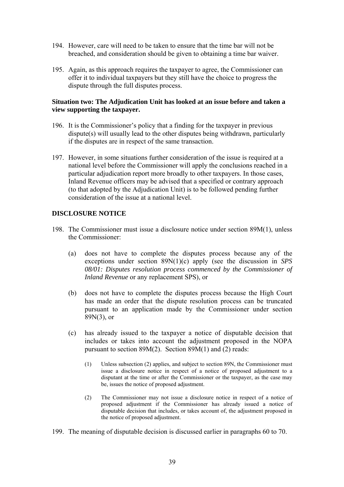- 194. However, care will need to be taken to ensure that the time bar will not be breached, and consideration should be given to obtaining a time bar waiver.
- 195. Again, as this approach requires the taxpayer to agree, the Commissioner can offer it to individual taxpayers but they still have the choice to progress the dispute through the full disputes process.

#### **Situation two: The Adjudication Unit has looked at an issue before and taken a view supporting the taxpayer.**

- 196. It is the Commissioner's policy that a finding for the taxpayer in previous dispute(s) will usually lead to the other disputes being withdrawn, particularly if the disputes are in respect of the same transaction.
- 197. However, in some situations further consideration of the issue is required at a national level before the Commissioner will apply the conclusions reached in a particular adjudication report more broadly to other taxpayers. In those cases, Inland Revenue officers may be advised that a specified or contrary approach (to that adopted by the Adjudication Unit) is to be followed pending further consideration of the issue at a national level.

## **DISCLOSURE NOTICE**

- 198. The Commissioner must issue a disclosure notice under section 89M(1), unless the Commissioner:
	- (a) does not have to complete the disputes process because any of the exceptions under section 89N(1)(c) apply (see the discussion in *SPS 08/01: Disputes resolution process commenced by the Commissioner of Inland Revenue* or any replacement SPS), or
	- (b) does not have to complete the disputes process because the High Court has made an order that the dispute resolution process can be truncated pursuant to an application made by the Commissioner under section 89N(3), or
	- (c) has already issued to the taxpayer a notice of disputable decision that includes or takes into account the adjustment proposed in the NOPA pursuant to section 89M(2). Section 89M(1) and (2) reads:
		- (1) Unless subsection (2) applies, and subject to section 89N, the Commissioner must issue a disclosure notice in respect of a notice of proposed adjustment to a disputant at the time or after the Commissioner or the taxpayer, as the case may be, issues the notice of proposed adjustment.
		- (2) The Commissioner may not issue a disclosure notice in respect of a notice of proposed adjustment if the Commissioner has already issued a notice of disputable decision that includes, or takes account of, the adjustment proposed in the notice of proposed adjustment.
- 199. The meaning of disputable decision is discussed earlier in paragraphs 60 to 70.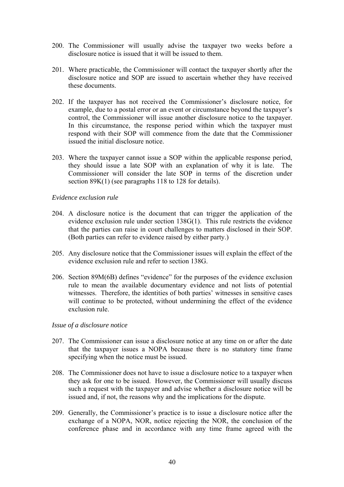- 200. The Commissioner will usually advise the taxpayer two weeks before a disclosure notice is issued that it will be issued to them.
- 201. Where practicable, the Commissioner will contact the taxpayer shortly after the disclosure notice and SOP are issued to ascertain whether they have received these documents.
- 202. If the taxpayer has not received the Commissioner's disclosure notice, for example, due to a postal error or an event or circumstance beyond the taxpayer's control, the Commissioner will issue another disclosure notice to the taxpayer. In this circumstance, the response period within which the taxpayer must respond with their SOP will commence from the date that the Commissioner issued the initial disclosure notice.
- 203. Where the taxpayer cannot issue a SOP within the applicable response period, they should issue a late SOP with an explanation of why it is late. The Commissioner will consider the late SOP in terms of the discretion under section 89K(1) (see paragraphs 118 to 128 for details).

#### *Evidence exclusion rule*

- 204. A disclosure notice is the document that can trigger the application of the evidence exclusion rule under section 138G(1). This rule restricts the evidence that the parties can raise in court challenges to matters disclosed in their SOP. (Both parties can refer to evidence raised by either party.)
- 205. Any disclosure notice that the Commissioner issues will explain the effect of the evidence exclusion rule and refer to section 138G.
- 206. Section 89M(6B) defines "evidence" for the purposes of the evidence exclusion rule to mean the available documentary evidence and not lists of potential witnesses. Therefore, the identities of both parties' witnesses in sensitive cases will continue to be protected, without undermining the effect of the evidence exclusion rule.

#### *Issue of a disclosure notice*

- 207. The Commissioner can issue a disclosure notice at any time on or after the date that the taxpayer issues a NOPA because there is no statutory time frame specifying when the notice must be issued.
- 208. The Commissioner does not have to issue a disclosure notice to a taxpayer when they ask for one to be issued. However, the Commissioner will usually discuss such a request with the taxpayer and advise whether a disclosure notice will be issued and, if not, the reasons why and the implications for the dispute.
- 209. Generally, the Commissioner's practice is to issue a disclosure notice after the exchange of a NOPA, NOR, notice rejecting the NOR, the conclusion of the conference phase and in accordance with any time frame agreed with the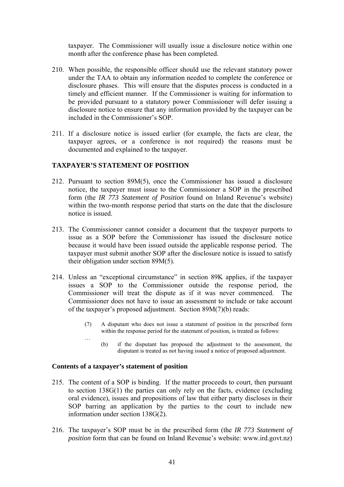taxpayer. The Commissioner will usually issue a disclosure notice within one month after the conference phase has been completed.

- 210. When possible, the responsible officer should use the relevant statutory power under the TAA to obtain any information needed to complete the conference or disclosure phases. This will ensure that the disputes process is conducted in a timely and efficient manner. If the Commissioner is waiting for information to be provided pursuant to a statutory power Commissioner will defer issuing a disclosure notice to ensure that any information provided by the taxpayer can be included in the Commissioner's SOP.
- 211. If a disclosure notice is issued earlier (for example, the facts are clear, the taxpayer agrees, or a conference is not required) the reasons must be documented and explained to the taxpayer.

#### **TAXPAYER'S STATEMENT OF POSITION**

- 212. Pursuant to section 89M(5), once the Commissioner has issued a disclosure notice, the taxpayer must issue to the Commissioner a SOP in the prescribed form (the *IR 773 Statement of Position* found on Inland Revenue's website) within the two-month response period that starts on the date that the disclosure notice is issued.
- 213. The Commissioner cannot consider a document that the taxpayer purports to issue as a SOP before the Commissioner has issued the disclosure notice because it would have been issued outside the applicable response period. The taxpayer must submit another SOP after the disclosure notice is issued to satisfy their obligation under section 89M(5).
- 214. Unless an "exceptional circumstance" in section 89K applies, if the taxpayer issues a SOP to the Commissioner outside the response period, the Commissioner will treat the dispute as if it was never commenced. The Commissioner does not have to issue an assessment to include or take account of the taxpayer's proposed adjustment. Section 89M(7)(b) reads:
	- (7) A disputant who does not issue a statement of position in the prescribed form within the response period for the statement of position, is treated as follows:
	- … (b) if the disputant has proposed the adjustment to the assessment, the disputant is treated as not having issued a notice of proposed adjustment.

#### **Contents of a taxpayer's statement of position**

- 215. The content of a SOP is binding. If the matter proceeds to court, then pursuant to section 138G(1) the parties can only rely on the facts, evidence (excluding oral evidence), issues and propositions of law that either party discloses in their SOP barring an application by the parties to the court to include new information under section 138G(2).
- 216. The taxpayer's SOP must be in the prescribed form (the *IR 773 Statement of position* form that can be found on Inland Revenue's website: www.ird.govt.nz)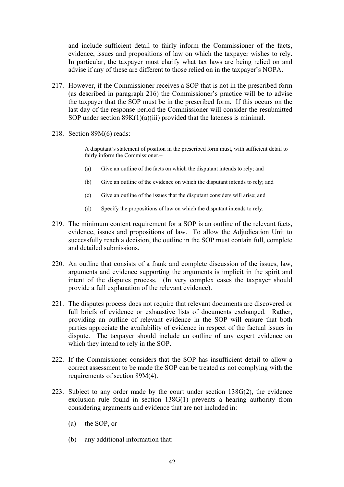and include sufficient detail to fairly inform the Commissioner of the facts, evidence, issues and propositions of law on which the taxpayer wishes to rely. In particular, the taxpayer must clarify what tax laws are being relied on and advise if any of these are different to those relied on in the taxpayer's NOPA.

- 217. However, if the Commissioner receives a SOP that is not in the prescribed form (as described in paragraph 216) the Commissioner's practice will be to advise the taxpayer that the SOP must be in the prescribed form. If this occurs on the last day of the response period the Commissioner will consider the resubmitted SOP under section 89K(1)(a)(iii) provided that the lateness is minimal.
- 218. Section 89M(6) reads:

A disputant's statement of position in the prescribed form must, with sufficient detail to fairly inform the Commissioner,-

- (a) Give an outline of the facts on which the disputant intends to rely; and
- (b) Give an outline of the evidence on which the disputant intends to rely; and
- (c) Give an outline of the issues that the disputant considers will arise; and
- (d) Specify the propositions of law on which the disputant intends to rely.
- 219. The minimum content requirement for a SOP is an outline of the relevant facts, evidence, issues and propositions of law. To allow the Adjudication Unit to successfully reach a decision, the outline in the SOP must contain full, complete and detailed submissions.
- 220. An outline that consists of a frank and complete discussion of the issues, law, arguments and evidence supporting the arguments is implicit in the spirit and intent of the disputes process. (In very complex cases the taxpayer should provide a full explanation of the relevant evidence).
- 221. The disputes process does not require that relevant documents are discovered or full briefs of evidence or exhaustive lists of documents exchanged. Rather, providing an outline of relevant evidence in the SOP will ensure that both parties appreciate the availability of evidence in respect of the factual issues in dispute. The taxpayer should include an outline of any expert evidence on which they intend to rely in the SOP.
- 222. If the Commissioner considers that the SOP has insufficient detail to allow a correct assessment to be made the SOP can be treated as not complying with the requirements of section 89M(4).
- 223. Subject to any order made by the court under section 138G(2), the evidence exclusion rule found in section 138G(1) prevents a hearing authority from considering arguments and evidence that are not included in:
	- (a) the SOP, or
	- (b) any additional information that: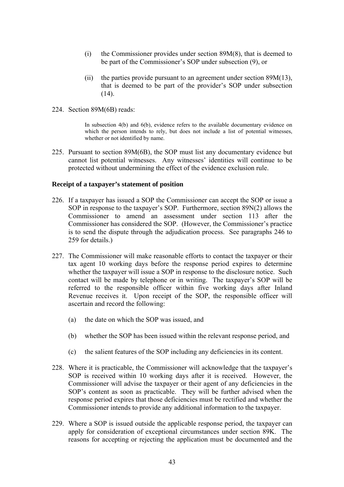- (i) the Commissioner provides under section 89M(8), that is deemed to be part of the Commissioner's SOP under subsection (9), or
- (ii) the parties provide pursuant to an agreement under section 89M(13), that is deemed to be part of the provider's SOP under subsection  $(14)$ .
- 224. Section 89M(6B) reads:

In subsection 4(b) and 6(b), evidence refers to the available documentary evidence on which the person intends to rely, but does not include a list of potential witnesses, whether or not identified by name.

225. Pursuant to section 89M(6B), the SOP must list any documentary evidence but cannot list potential witnesses. Any witnesses' identities will continue to be protected without undermining the effect of the evidence exclusion rule.

#### **Receipt of a taxpayer's statement of position**

- 226. If a taxpayer has issued a SOP the Commissioner can accept the SOP or issue a SOP in response to the taxpayer's SOP. Furthermore, section 89N(2) allows the Commissioner to amend an assessment under section 113 after the Commissioner has considered the SOP. (However, the Commissioner's practice is to send the dispute through the adjudication process. See paragraphs 246 to 259 for details.)
- 227. The Commissioner will make reasonable efforts to contact the taxpayer or their tax agent 10 working days before the response period expires to determine whether the taxpayer will issue a SOP in response to the disclosure notice. Such contact will be made by telephone or in writing. The taxpayer's SOP will be referred to the responsible officer within five working days after Inland Revenue receives it. Upon receipt of the SOP, the responsible officer will ascertain and record the following:
	- (a) the date on which the SOP was issued, and
	- (b) whether the SOP has been issued within the relevant response period, and
	- (c) the salient features of the SOP including any deficiencies in its content.
- 228. Where it is practicable, the Commissioner will acknowledge that the taxpayer's SOP is received within 10 working days after it is received. However, the Commissioner will advise the taxpayer or their agent of any deficiencies in the SOP's content as soon as practicable. They will be further advised when the response period expires that those deficiencies must be rectified and whether the Commissioner intends to provide any additional information to the taxpayer.
- 229. Where a SOP is issued outside the applicable response period, the taxpayer can apply for consideration of exceptional circumstances under section 89K. The reasons for accepting or rejecting the application must be documented and the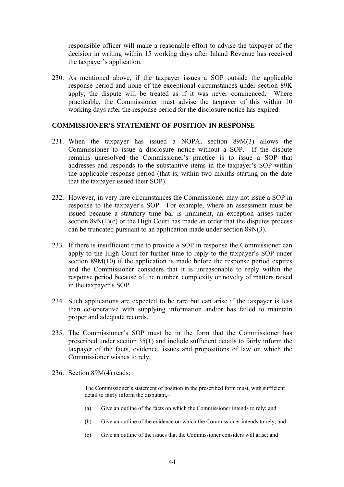responsible officer will make a reasonable effort to advise the taxpayer of the decision in writing within 15 working days after Inland Revenue has received the taxpayer's application.

230. As mentioned above, if the taxpayer issues a SOP outside the applicable response period and none of the exceptional circumstances under section 89K apply, the dispute will be treated as if it was never commenced. Where practicable, the Commissioner must advise the taxpayer of this within 10 working days after the response period for the disclosure notice has expired.

#### **COMMISSIONER'S STATEMENT OF POSITION IN RESPONSE**

- 231. When the taxpayer has issued a NOPA, section 89M(3) allows the Commissioner to issue a disclosure notice without a SOP. If the dispute remains unresolved the Commissioner's practice is to issue a SOP that addresses and responds to the substantive items in the taxpayer's SOP within the applicable response period (that is, within two months starting on the date that the taxpayer issued their SOP).
- 232. However, in very rare circumstances the Commissioner may not issue a SOP in response to the taxpayer's SOP. For example, where an assessment must be issued because a statutory time bar is imminent, an exception arises under section  $89N(1)(c)$  or the High Court has made an order that the disputes process can be truncated pursuant to an application made under section 89N(3).
- 233. If there is insufficient time to provide a SOP in response the Commissioner can apply to the High Court for further time to reply to the taxpayer's SOP under section 89M(10) if the application is made before the response period expires and the Commissioner considers that it is unreasonable to reply within the response period because of the number, complexity or novelty of matters raised in the taxpayer's SOP.
- 234. Such applications are expected to be rare but can arise if the taxpayer is less than co-operative with supplying information and/or has failed to maintain proper and adequate records.
- 235. The Commissioner's SOP must be in the form that the Commissioner has prescribed under section 35(1) and include sufficient details to fairly inform the taxpayer of the facts, evidence, issues and propositions of law on which the Commissioner wishes to rely.
- 236. Section 89M(4) reads:

The Commissioner's statement of position in the prescribed form must, with sufficient detail to fairly inform the disputant,–

- (a) Give an outline of the facts on which the Commissioner intends to rely; and
- (b) Give an outline of the evidence on which the Commissioner intends to rely; and
- (c) Give an outline of the issues that the Commissioner considers will arise; and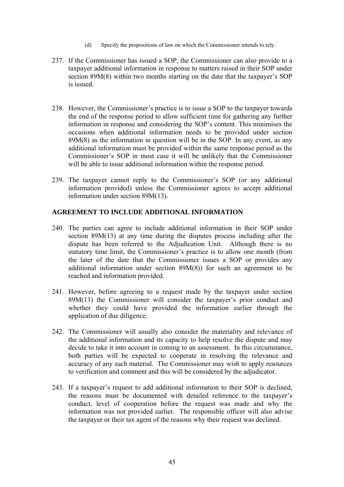- (d) Specify the propositions of law on which the Commissioner intends to rely.
- 237. If the Commissioner has issued a SOP, the Commissioner can also provide to a taxpayer additional information in response to matters raised in their SOP under section 89M(8) within two months starting on the date that the taxpayer's SOP is issued.
- 238. However, the Commissioner's practice is to issue a SOP to the taxpayer towards the end of the response period to allow sufficient time for gathering any further information in response and considering the SOP's content. This minimises the occasions when additional information needs to be provided under section 89M(8) as the information in question will be in the SOP. In any event, as any additional information must be provided within the same response period as the Commissioner's SOP in most case it will be unlikely that the Commissioner will be able to issue additional information within the response period.
- 239. The taxpayer cannot reply to the Commissioner's SOP (or any additional information provided) unless the Commissioner agrees to accept additional information under section 89M(13).

## **AGREEMENT TO INCLUDE ADDITIONAL INFORMATION**

- 240. The parties can agree to include additional information in their SOP under section 89M(13) at any time during the disputes process including after the dispute has been referred to the Adjudication Unit. Although there is no statutory time limit, the Commissioner's practice is to allow one month (from the later of the date that the Commissioner issues a SOP or provides any additional information under section 89M(8)) for such an agreement to be reached and information provided.
- 241. However, before agreeing to a request made by the taxpayer under section 89M(13) the Commissioner will consider the taxpayer's prior conduct and whether they could have provided the information earlier through the application of due diligence.
- 242. The Commissioner will usually also consider the materiality and relevance of the additional information and its capacity to help resolve the dispute and may decide to take it into account in coming to an assessment. In this circumstance, both parties will be expected to cooperate in resolving the relevance and accuracy of any such material. The Commissioner may wish to apply resources to verification and comment and this will be considered by the adjudicator.
- 243. If a taxpayer's request to add additional information to their SOP is declined, the reasons must be documented with detailed reference to the taxpayer's conduct, level of cooperation before the request was made and why the information was not provided earlier. The responsible officer will also advise the taxpayer or their tax agent of the reasons why their request was declined.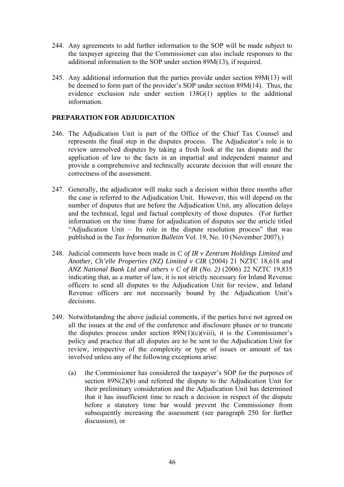- 244. Any agreements to add further information to the SOP will be made subject to the taxpayer agreeing that the Commissioner can also include responses to the additional information to the SOP under section 89M(13), if required.
- 245. Any additional information that the parties provide under section 89M(13) will be deemed to form part of the provider's SOP under section 89M(14). Thus, the evidence exclusion rule under section 138G(1) applies to the additional information.

## **PREPARATION FOR ADJUDICATION**

- 246. The Adjudication Unit is part of the Office of the Chief Tax Counsel and represents the final step in the disputes process. The Adjudicator's role is to review unresolved disputes by taking a fresh look at the tax dispute and the application of law to the facts in an impartial and independent manner and provide a comprehensive and technically accurate decision that will ensure the correctness of the assessment.
- 247. Generally, the adjudicator will make such a decision within three months after the case is referred to the Adjudication Unit.However, this will depend on the number of disputes that are before the Adjudication Unit, any allocation delays and the technical, legal and factual complexity of those disputes.(For further information on the time frame for adjudication of disputes see the article titled "Adjudication Unit – Its role in the dispute resolution process" that was published in the *Tax Information Bulletin* Vol. 19, No. 10 (November 2007).)
- 248. Judicial comments have been made in *C of IR v Zentrum Holdings Limited and Another, Ch'elle Properties (NZ) Limited v CIR* (2004) 21 NZTC 18,618 and *ANZ National Bank Ltd and others v C of IR (No. 2)* (2006) 22 NZTC 19,835 indicating that, as a matter of law, it is not strictly necessary for Inland Revenue officers to send all disputes to the Adjudication Unit for review, and Inland Revenue officers are not necessarily bound by the Adjudication Unit's decisions.
- 249. Notwithstanding the above judicial comments, if the parties have not agreed on all the issues at the end of the conference and disclosure phases or to truncate the disputes process under section  $89N(1)(c)(viii)$ , it is the Commissioner's policy and practice that all disputes are to be sent to the Adjudication Unit for review, irrespective of the complexity or type of issues or amount of tax involved unless any of the following exceptions arise:
	- (a) the Commissioner has considered the taxpayer's SOP for the purposes of section 89N(2)(b) and referred the dispute to the Adjudication Unit for their preliminary consideration and the Adjudication Unit has determined that it has insufficient time to reach a decision in respect of the dispute before a statutory time bar would prevent the Commissioner from subsequently increasing the assessment (see paragraph 250 for further discussion), or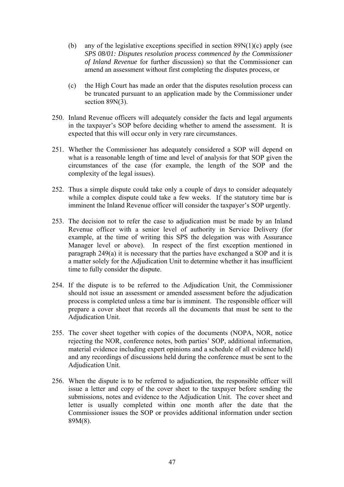- (b) any of the legislative exceptions specified in section  $89N(1)(c)$  apply (see *SPS 08/01: Disputes resolution process commenced by the Commissioner of Inland Revenue* for further discussion) so that the Commissioner can amend an assessment without first completing the disputes process, or
- (c) the High Court has made an order that the disputes resolution process can be truncated pursuant to an application made by the Commissioner under section 89N(3).
- 250. Inland Revenue officers will adequately consider the facts and legal arguments in the taxpayer's SOP before deciding whether to amend the assessment. It is expected that this will occur only in very rare circumstances.
- 251. Whether the Commissioner has adequately considered a SOP will depend on what is a reasonable length of time and level of analysis for that SOP given the circumstances of the case (for example, the length of the SOP and the complexity of the legal issues).
- 252. Thus a simple dispute could take only a couple of days to consider adequately while a complex dispute could take a few weeks. If the statutory time bar is imminent the Inland Revenue officer will consider the taxpayer's SOP urgently.
- 253. The decision not to refer the case to adjudication must be made by an Inland Revenue officer with a senior level of authority in Service Delivery (for example, at the time of writing this SPS the delegation was with Assurance Manager level or above). In respect of the first exception mentioned in paragraph 249(a) it is necessary that the parties have exchanged a SOP and it is a matter solely for the Adjudication Unit to determine whether it has insufficient time to fully consider the dispute.
- 254. If the dispute is to be referred to the Adjudication Unit, the Commissioner should not issue an assessment or amended assessment before the adjudication process is completed unless a time bar is imminent. The responsible officer will prepare a cover sheet that records all the documents that must be sent to the Adjudication Unit.
- 255. The cover sheet together with copies of the documents (NOPA, NOR, notice rejecting the NOR, conference notes, both parties' SOP, additional information, material evidence including expert opinions and a schedule of all evidence held) and any recordings of discussions held during the conference must be sent to the Adjudication Unit.
- 256. When the dispute is to be referred to adjudication, the responsible officer will issue a letter and copy of the cover sheet to the taxpayer before sending the submissions, notes and evidence to the Adjudication Unit. The cover sheet and letter is usually completed within one month after the date that the Commissioner issues the SOP or provides additional information under section 89M(8).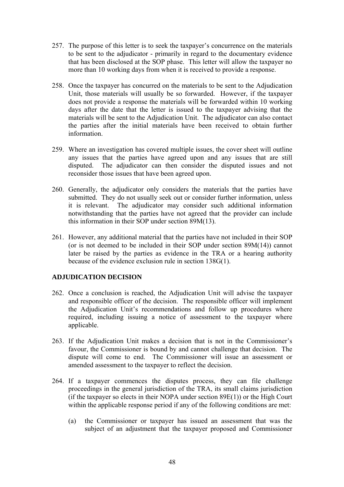- 257. The purpose of this letter is to seek the taxpayer's concurrence on the materials to be sent to the adjudicator - primarily in regard to the documentary evidence that has been disclosed at the SOP phase. This letter will allow the taxpayer no more than 10 working days from when it is received to provide a response.
- 258. Once the taxpayer has concurred on the materials to be sent to the Adjudication Unit, those materials will usually be so forwarded. However, if the taxpayer does not provide a response the materials will be forwarded within 10 working days after the date that the letter is issued to the taxpayer advising that the materials will be sent to the Adjudication Unit. The adjudicator can also contact the parties after the initial materials have been received to obtain further information.
- 259. Where an investigation has covered multiple issues, the cover sheet will outline any issues that the parties have agreed upon and any issues that are still disputed. The adjudicator can then consider the disputed issues and not reconsider those issues that have been agreed upon.
- 260. Generally, the adjudicator only considers the materials that the parties have submitted. They do not usually seek out or consider further information, unless it is relevant. The adjudicator may consider such additional information notwithstanding that the parties have not agreed that the provider can include this information in their SOP under section 89M(13).
- 261. However, any additional material that the parties have not included in their SOP (or is not deemed to be included in their SOP under section 89M(14)) cannot later be raised by the parties as evidence in the TRA or a hearing authority because of the evidence exclusion rule in section 138G(1).

## **ADJUDICATION DECISION**

- 262. Once a conclusion is reached, the Adjudication Unit will advise the taxpayer and responsible officer of the decision. The responsible officer will implement the Adjudication Unit's recommendations and follow up procedures where required, including issuing a notice of assessment to the taxpayer where applicable.
- 263. If the Adjudication Unit makes a decision that is not in the Commissioner's favour, the Commissioner is bound by and cannot challenge that decision. The dispute will come to end. The Commissioner will issue an assessment or amended assessment to the taxpayer to reflect the decision.
- 264. If a taxpayer commences the disputes process, they can file challenge proceedings in the general jurisdiction of the TRA, its small claims jurisdiction (if the taxpayer so elects in their NOPA under section  $89E(1)$ ) or the High Court within the applicable response period if any of the following conditions are met:
	- (a) the Commissioner or taxpayer has issued an assessment that was the subject of an adjustment that the taxpayer proposed and Commissioner